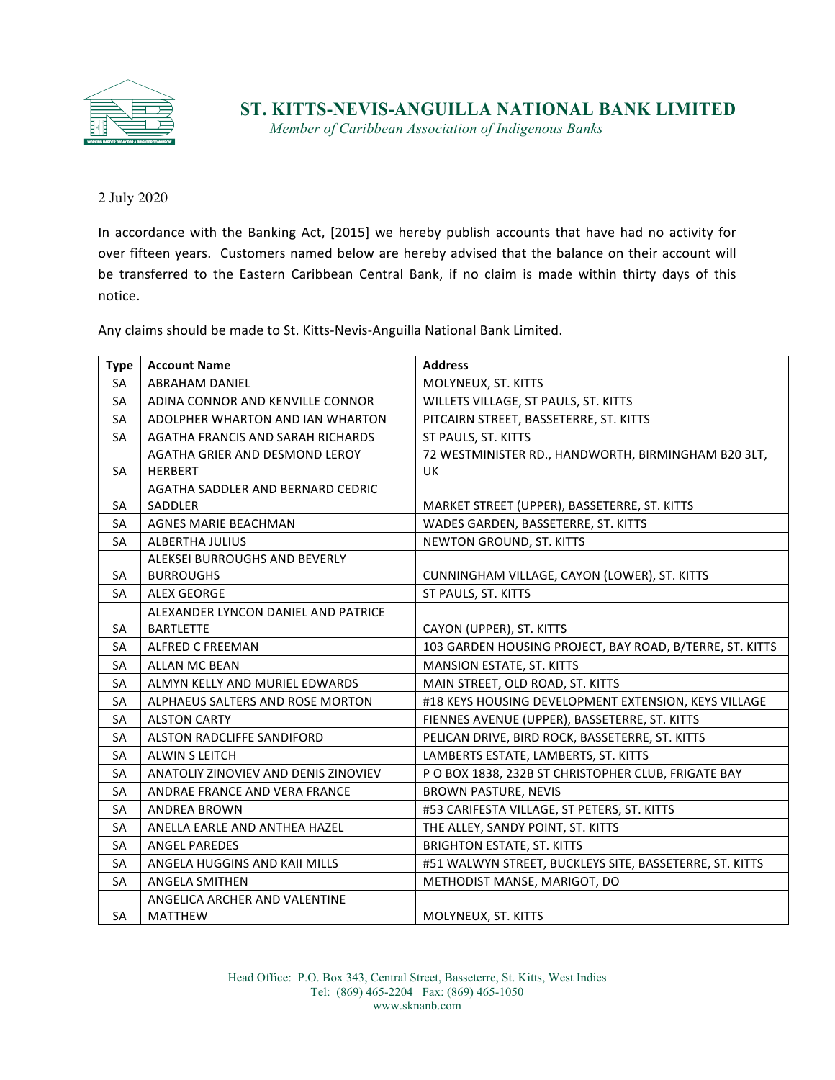

## **ST. KITTS-NEVIS-ANGUILLA NATIONAL BANK LIMITED**

*Member of Caribbean Association of Indigenous Banks*

2 July 2020

In accordance with the Banking Act, [2015] we hereby publish accounts that have had no activity for over fifteen years. Customers named below are hereby advised that the balance on their account will be transferred to the Eastern Caribbean Central Bank, if no claim is made within thirty days of this notice. 

Any claims should be made to St. Kitts-Nevis-Anguilla National Bank Limited.

| <b>Type</b> | <b>Account Name</b>                  | <b>Address</b>                                           |
|-------------|--------------------------------------|----------------------------------------------------------|
| <b>SA</b>   | <b>ABRAHAM DANIEL</b>                | MOLYNEUX, ST. KITTS                                      |
| SA          | ADINA CONNOR AND KENVILLE CONNOR     | WILLETS VILLAGE, ST PAULS, ST. KITTS                     |
| <b>SA</b>   | ADOLPHER WHARTON AND IAN WHARTON     | PITCAIRN STREET, BASSETERRE, ST. KITTS                   |
| <b>SA</b>   | AGATHA FRANCIS AND SARAH RICHARDS    | ST PAULS, ST. KITTS                                      |
|             | AGATHA GRIER AND DESMOND LEROY       | 72 WESTMINISTER RD., HANDWORTH, BIRMINGHAM B20 3LT,      |
| <b>SA</b>   | <b>HERBERT</b>                       | UK                                                       |
|             | AGATHA SADDLER AND BERNARD CEDRIC    |                                                          |
| <b>SA</b>   | SADDLER                              | MARKET STREET (UPPER), BASSETERRE, ST. KITTS             |
| <b>SA</b>   | <b>AGNES MARIE BEACHMAN</b>          | WADES GARDEN, BASSETERRE, ST. KITTS                      |
| <b>SA</b>   | <b>ALBERTHA JULIUS</b>               | NEWTON GROUND, ST. KITTS                                 |
|             | ALEKSEI BURROUGHS AND BEVERLY        |                                                          |
| <b>SA</b>   | <b>BURROUGHS</b>                     | CUNNINGHAM VILLAGE, CAYON (LOWER), ST. KITTS             |
| <b>SA</b>   | <b>ALEX GEORGE</b>                   | ST PAULS, ST. KITTS                                      |
|             | ALEXANDER LYNCON DANIEL AND PATRICE  |                                                          |
| <b>SA</b>   | <b>BARTLETTE</b>                     | CAYON (UPPER), ST. KITTS                                 |
| SA          | <b>ALFRED C FREEMAN</b>              | 103 GARDEN HOUSING PROJECT, BAY ROAD, B/TERRE, ST. KITTS |
| <b>SA</b>   | <b>ALLAN MC BEAN</b>                 | MANSION ESTATE, ST. KITTS                                |
| SA          | ALMYN KELLY AND MURIEL EDWARDS       | MAIN STREET, OLD ROAD, ST. KITTS                         |
| SA          | ALPHAEUS SALTERS AND ROSE MORTON     | #18 KEYS HOUSING DEVELOPMENT EXTENSION, KEYS VILLAGE     |
| <b>SA</b>   | <b>ALSTON CARTY</b>                  | FIENNES AVENUE (UPPER), BASSETERRE, ST. KITTS            |
| SA          | ALSTON RADCLIFFE SANDIFORD           | PELICAN DRIVE, BIRD ROCK, BASSETERRE, ST. KITTS          |
| SA          | <b>ALWIN S LEITCH</b>                | LAMBERTS ESTATE, LAMBERTS, ST. KITTS                     |
| <b>SA</b>   | ANATOLIY ZINOVIEV AND DENIS ZINOVIEV | PO BOX 1838, 232B ST CHRISTOPHER CLUB, FRIGATE BAY       |
| <b>SA</b>   | ANDRAE FRANCE AND VERA FRANCE        | <b>BROWN PASTURE, NEVIS</b>                              |
| SA          | <b>ANDREA BROWN</b>                  | #53 CARIFESTA VILLAGE, ST PETERS, ST. KITTS              |
| SA          | ANELLA EARLE AND ANTHEA HAZEL        | THE ALLEY, SANDY POINT, ST. KITTS                        |
| SA          | <b>ANGEL PAREDES</b>                 | <b>BRIGHTON ESTATE, ST. KITTS</b>                        |
| <b>SA</b>   | ANGELA HUGGINS AND KAII MILLS        | #51 WALWYN STREET, BUCKLEYS SITE, BASSETERRE, ST. KITTS  |
| SA          | <b>ANGELA SMITHEN</b>                | METHODIST MANSE, MARIGOT, DO                             |
|             | ANGELICA ARCHER AND VALENTINE        |                                                          |
| <b>SA</b>   | <b>MATTHEW</b>                       | MOLYNEUX, ST. KITTS                                      |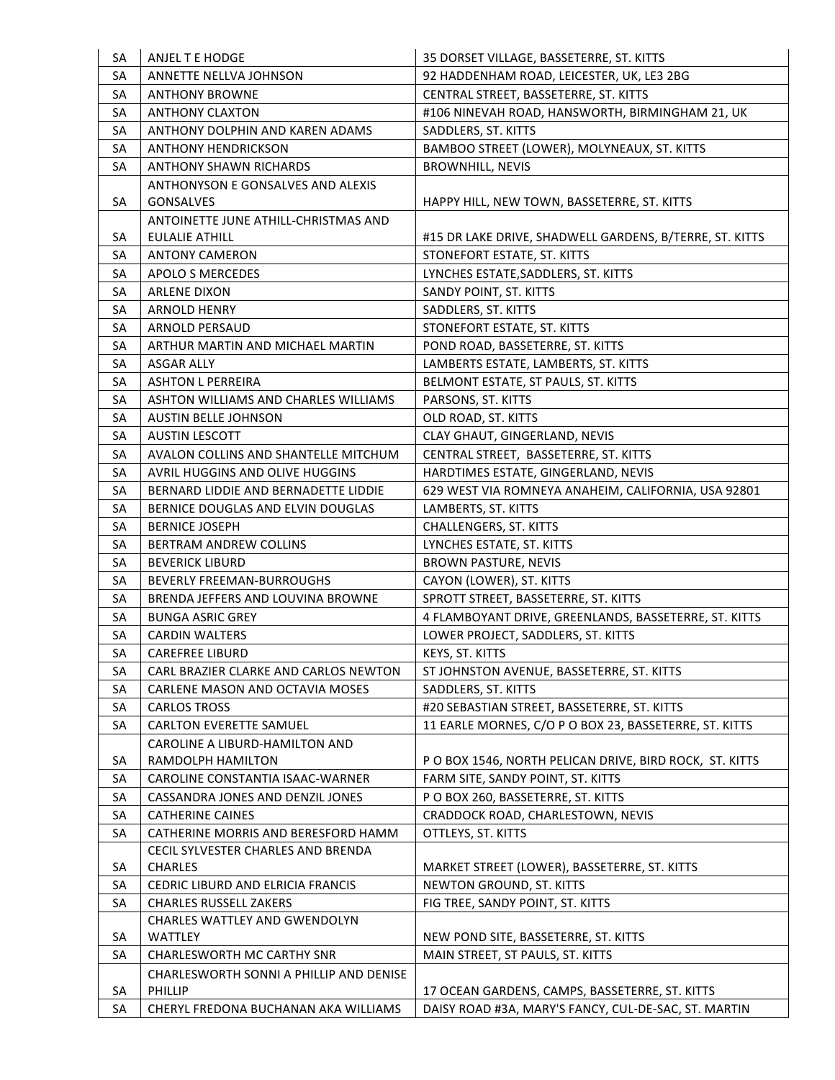| SA       | ANJEL T E HODGE                                 | 35 DORSET VILLAGE, BASSETERRE, ST. KITTS                                                               |
|----------|-------------------------------------------------|--------------------------------------------------------------------------------------------------------|
| SA       | ANNETTE NELLVA JOHNSON                          | 92 HADDENHAM ROAD, LEICESTER, UK, LE3 2BG                                                              |
| SA       | <b>ANTHONY BROWNE</b>                           | CENTRAL STREET, BASSETERRE, ST. KITTS                                                                  |
| SA       | <b>ANTHONY CLAXTON</b>                          | #106 NINEVAH ROAD, HANSWORTH, BIRMINGHAM 21, UK                                                        |
| SA       | ANTHONY DOLPHIN AND KAREN ADAMS                 | SADDLERS, ST. KITTS                                                                                    |
| SA       | <b>ANTHONY HENDRICKSON</b>                      | BAMBOO STREET (LOWER), MOLYNEAUX, ST. KITTS                                                            |
| SA       | <b>ANTHONY SHAWN RICHARDS</b>                   | <b>BROWNHILL, NEVIS</b>                                                                                |
|          | <b>ANTHONYSON E GONSALVES AND ALEXIS</b>        |                                                                                                        |
| SA       | <b>GONSALVES</b>                                | HAPPY HILL, NEW TOWN, BASSETERRE, ST. KITTS                                                            |
|          | ANTOINETTE JUNE ATHILL-CHRISTMAS AND            |                                                                                                        |
| SA       | EULALIE ATHILL                                  | #15 DR LAKE DRIVE, SHADWELL GARDENS, B/TERRE, ST. KITTS                                                |
| SA       | <b>ANTONY CAMERON</b>                           | STONEFORT ESTATE, ST. KITTS                                                                            |
| SA       | <b>APOLO S MERCEDES</b>                         | LYNCHES ESTATE, SADDLERS, ST. KITTS                                                                    |
| SA       | <b>ARLENE DIXON</b>                             | SANDY POINT, ST. KITTS                                                                                 |
| SA       | <b>ARNOLD HENRY</b>                             | SADDLERS, ST. KITTS                                                                                    |
| SA       | ARNOLD PERSAUD                                  | STONEFORT ESTATE, ST. KITTS                                                                            |
| SA       | ARTHUR MARTIN AND MICHAEL MARTIN                | POND ROAD, BASSETERRE, ST. KITTS                                                                       |
| SA       | <b>ASGAR ALLY</b>                               | LAMBERTS ESTATE, LAMBERTS, ST. KITTS                                                                   |
| SA       | <b>ASHTON L PERREIRA</b>                        | BELMONT ESTATE, ST PAULS, ST. KITTS                                                                    |
| SA       | ASHTON WILLIAMS AND CHARLES WILLIAMS            | PARSONS, ST. KITTS                                                                                     |
| SA       | <b>AUSTIN BELLE JOHNSON</b>                     | OLD ROAD, ST. KITTS                                                                                    |
| SA       | <b>AUSTIN LESCOTT</b>                           | CLAY GHAUT, GINGERLAND, NEVIS                                                                          |
| SA       | AVALON COLLINS AND SHANTELLE MITCHUM            | CENTRAL STREET, BASSETERRE, ST. KITTS                                                                  |
| SA       | AVRIL HUGGINS AND OLIVE HUGGINS                 | HARDTIMES ESTATE, GINGERLAND, NEVIS                                                                    |
| SA       | BERNARD LIDDIE AND BERNADETTE LIDDIE            | 629 WEST VIA ROMNEYA ANAHEIM, CALIFORNIA, USA 92801                                                    |
| SA       | BERNICE DOUGLAS AND ELVIN DOUGLAS               | LAMBERTS, ST. KITTS                                                                                    |
| SA       | <b>BERNICE JOSEPH</b>                           | <b>CHALLENGERS, ST. KITTS</b>                                                                          |
|          |                                                 |                                                                                                        |
| SA       | <b>BERTRAM ANDREW COLLINS</b>                   | LYNCHES ESTATE, ST. KITTS                                                                              |
| SA       | <b>BEVERICK LIBURD</b>                          | <b>BROWN PASTURE, NEVIS</b>                                                                            |
| SA       | <b>BEVERLY FREEMAN-BURROUGHS</b>                | CAYON (LOWER), ST. KITTS                                                                               |
| SA       | BRENDA JEFFERS AND LOUVINA BROWNE               | SPROTT STREET, BASSETERRE, ST. KITTS                                                                   |
| SA       | <b>BUNGA ASRIC GREY</b>                         | 4 FLAMBOYANT DRIVE, GREENLANDS, BASSETERRE, ST. KITTS                                                  |
| SA       | <b>CARDIN WALTERS</b>                           | LOWER PROJECT, SADDLERS, ST. KITTS                                                                     |
| SA       | <b>CAREFREE LIBURD</b>                          | KEYS, ST. KITTS                                                                                        |
| SA       | CARL BRAZIER CLARKE AND CARLOS NEWTON           | ST JOHNSTON AVENUE, BASSETERRE, ST. KITTS                                                              |
| SA       | CARLENE MASON AND OCTAVIA MOSES                 | SADDLERS, ST. KITTS                                                                                    |
| SA       | <b>CARLOS TROSS</b>                             | #20 SEBASTIAN STREET, BASSETERRE, ST. KITTS                                                            |
| SA       | <b>CARLTON EVERETTE SAMUEL</b>                  | 11 EARLE MORNES, C/O P O BOX 23, BASSETERRE, ST. KITTS                                                 |
|          | CAROLINE A LIBURD-HAMILTON AND                  |                                                                                                        |
| SA       | RAMDOLPH HAMILTON                               | P O BOX 1546, NORTH PELICAN DRIVE, BIRD ROCK, ST. KITTS                                                |
| SA       | CAROLINE CONSTANTIA ISAAC-WARNER                | FARM SITE, SANDY POINT, ST. KITTS                                                                      |
| SA       | CASSANDRA JONES AND DENZIL JONES                | P O BOX 260, BASSETERRE, ST. KITTS                                                                     |
| SA       | <b>CATHERINE CAINES</b>                         | CRADDOCK ROAD, CHARLESTOWN, NEVIS                                                                      |
| SA       | CATHERINE MORRIS AND BERESFORD HAMM             | OTTLEYS, ST. KITTS                                                                                     |
|          | CECIL SYLVESTER CHARLES AND BRENDA              |                                                                                                        |
| SA       | <b>CHARLES</b>                                  | MARKET STREET (LOWER), BASSETERRE, ST. KITTS                                                           |
| SA       | CEDRIC LIBURD AND ELRICIA FRANCIS               | NEWTON GROUND, ST. KITTS                                                                               |
| SA       | <b>CHARLES RUSSELL ZAKERS</b>                   | FIG TREE, SANDY POINT, ST. KITTS                                                                       |
|          | <b>CHARLES WATTLEY AND GWENDOLYN</b>            |                                                                                                        |
| SA       | WATTLEY                                         | NEW POND SITE, BASSETERRE, ST. KITTS                                                                   |
| SA       | CHARLESWORTH MC CARTHY SNR                      | MAIN STREET, ST PAULS, ST. KITTS                                                                       |
|          | CHARLESWORTH SONNI A PHILLIP AND DENISE         |                                                                                                        |
| SA<br>SA | PHILLIP<br>CHERYL FREDONA BUCHANAN AKA WILLIAMS | 17 OCEAN GARDENS, CAMPS, BASSETERRE, ST. KITTS<br>DAISY ROAD #3A, MARY'S FANCY, CUL-DE-SAC, ST. MARTIN |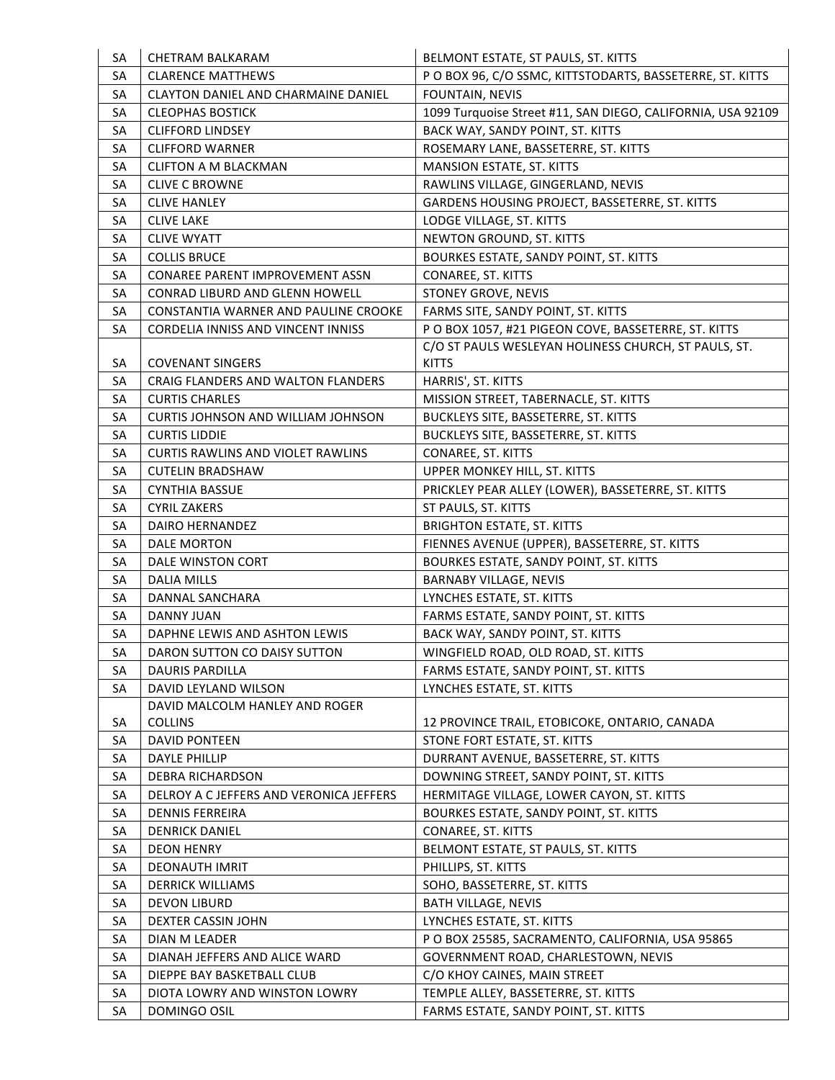| SA | <b>CHETRAM BALKARAM</b>                   | BELMONT ESTATE, ST PAULS, ST. KITTS                         |
|----|-------------------------------------------|-------------------------------------------------------------|
| SA | <b>CLARENCE MATTHEWS</b>                  | P O BOX 96, C/O SSMC, KITTSTODARTS, BASSETERRE, ST. KITTS   |
| SA | CLAYTON DANIEL AND CHARMAINE DANIEL       | FOUNTAIN, NEVIS                                             |
| SA | <b>CLEOPHAS BOSTICK</b>                   | 1099 Turquoise Street #11, SAN DIEGO, CALIFORNIA, USA 92109 |
| SA | <b>CLIFFORD LINDSEY</b>                   | BACK WAY, SANDY POINT, ST. KITTS                            |
| SA | <b>CLIFFORD WARNER</b>                    | ROSEMARY LANE, BASSETERRE, ST. KITTS                        |
| SA | <b>CLIFTON A M BLACKMAN</b>               | MANSION ESTATE, ST. KITTS                                   |
| SA | <b>CLIVE C BROWNE</b>                     | RAWLINS VILLAGE, GINGERLAND, NEVIS                          |
| SA | <b>CLIVE HANLEY</b>                       | GARDENS HOUSING PROJECT, BASSETERRE, ST. KITTS              |
| SA | <b>CLIVE LAKE</b>                         | LODGE VILLAGE, ST. KITTS                                    |
| SA | <b>CLIVE WYATT</b>                        | NEWTON GROUND, ST. KITTS                                    |
| SA | <b>COLLIS BRUCE</b>                       | BOURKES ESTATE, SANDY POINT, ST. KITTS                      |
| SA | <b>CONAREE PARENT IMPROVEMENT ASSN</b>    | <b>CONAREE, ST. KITTS</b>                                   |
| SA | <b>CONRAD LIBURD AND GLENN HOWELL</b>     | STONEY GROVE, NEVIS                                         |
| SA | CONSTANTIA WARNER AND PAULINE CROOKE      | FARMS SITE, SANDY POINT, ST. KITTS                          |
| SA | <b>CORDELIA INNISS AND VINCENT INNISS</b> | PO BOX 1057, #21 PIGEON COVE, BASSETERRE, ST. KITTS         |
|    |                                           | C/O ST PAULS WESLEYAN HOLINESS CHURCH, ST PAULS, ST.        |
| SA | <b>COVENANT SINGERS</b>                   | <b>KITTS</b>                                                |
| SA | CRAIG FLANDERS AND WALTON FLANDERS        | HARRIS', ST. KITTS                                          |
| SA | <b>CURTIS CHARLES</b>                     | MISSION STREET, TABERNACLE, ST. KITTS                       |
| SA | CURTIS JOHNSON AND WILLIAM JOHNSON        | BUCKLEYS SITE, BASSETERRE, ST. KITTS                        |
| SA | <b>CURTIS LIDDIE</b>                      | BUCKLEYS SITE, BASSETERRE, ST. KITTS                        |
| SA | <b>CURTIS RAWLINS AND VIOLET RAWLINS</b>  | CONAREE, ST. KITTS                                          |
| SA | <b>CUTELIN BRADSHAW</b>                   | UPPER MONKEY HILL, ST. KITTS                                |
| SA | <b>CYNTHIA BASSUE</b>                     | PRICKLEY PEAR ALLEY (LOWER), BASSETERRE, ST. KITTS          |
| SA | <b>CYRIL ZAKERS</b>                       | ST PAULS, ST. KITTS                                         |
| SA | DAIRO HERNANDEZ                           | <b>BRIGHTON ESTATE, ST. KITTS</b>                           |
| SA | <b>DALE MORTON</b>                        | FIENNES AVENUE (UPPER), BASSETERRE, ST. KITTS               |
| SA | DALE WINSTON CORT                         | BOURKES ESTATE, SANDY POINT, ST. KITTS                      |
| SA | <b>DALIA MILLS</b>                        | <b>BARNABY VILLAGE, NEVIS</b>                               |
| SA | DANNAL SANCHARA                           | LYNCHES ESTATE, ST. KITTS                                   |
| SA | <b>DANNY JUAN</b>                         | FARMS ESTATE, SANDY POINT, ST. KITTS                        |
| SA | DAPHNE LEWIS AND ASHTON LEWIS             | BACK WAY, SANDY POINT, ST. KITTS                            |
| SA | DARON SUTTON CO DAISY SUTTON              | WINGFIELD ROAD, OLD ROAD, ST. KITTS                         |
| SA | DAURIS PARDILLA                           | FARMS ESTATE, SANDY POINT, ST. KITTS                        |
| SA | DAVID LEYLAND WILSON                      | LYNCHES ESTATE, ST. KITTS                                   |
|    | DAVID MALCOLM HANLEY AND ROGER            |                                                             |
| SA | <b>COLLINS</b>                            | 12 PROVINCE TRAIL, ETOBICOKE, ONTARIO, CANADA               |
| SA | DAVID PONTEEN                             | STONE FORT ESTATE, ST. KITTS                                |
| SA | DAYLE PHILLIP                             | DURRANT AVENUE, BASSETERRE, ST. KITTS                       |
| SA | <b>DEBRA RICHARDSON</b>                   | DOWNING STREET, SANDY POINT, ST. KITTS                      |
| SA | DELROY A C JEFFERS AND VERONICA JEFFERS   | HERMITAGE VILLAGE, LOWER CAYON, ST. KITTS                   |
| SA | <b>DENNIS FERREIRA</b>                    | BOURKES ESTATE, SANDY POINT, ST. KITTS                      |
| SA | <b>DENRICK DANIEL</b>                     | CONAREE, ST. KITTS                                          |
| SA | <b>DEON HENRY</b>                         | BELMONT ESTATE, ST PAULS, ST. KITTS                         |
| SA | DEONAUTH IMRIT                            | PHILLIPS, ST. KITTS                                         |
| SA | <b>DERRICK WILLIAMS</b>                   | SOHO, BASSETERRE, ST. KITTS                                 |
| SA | <b>DEVON LIBURD</b>                       | <b>BATH VILLAGE, NEVIS</b>                                  |
| SA | DEXTER CASSIN JOHN                        | LYNCHES ESTATE, ST. KITTS                                   |
| SA | DIAN M LEADER                             | P O BOX 25585, SACRAMENTO, CALIFORNIA, USA 95865            |
| SA | DIANAH JEFFERS AND ALICE WARD             | GOVERNMENT ROAD, CHARLESTOWN, NEVIS                         |
| SA | DIEPPE BAY BASKETBALL CLUB                | C/O KHOY CAINES, MAIN STREET                                |
| SA | DIOTA LOWRY AND WINSTON LOWRY             | TEMPLE ALLEY, BASSETERRE, ST. KITTS                         |
| SA | DOMINGO OSIL                              | FARMS ESTATE, SANDY POINT, ST. KITTS                        |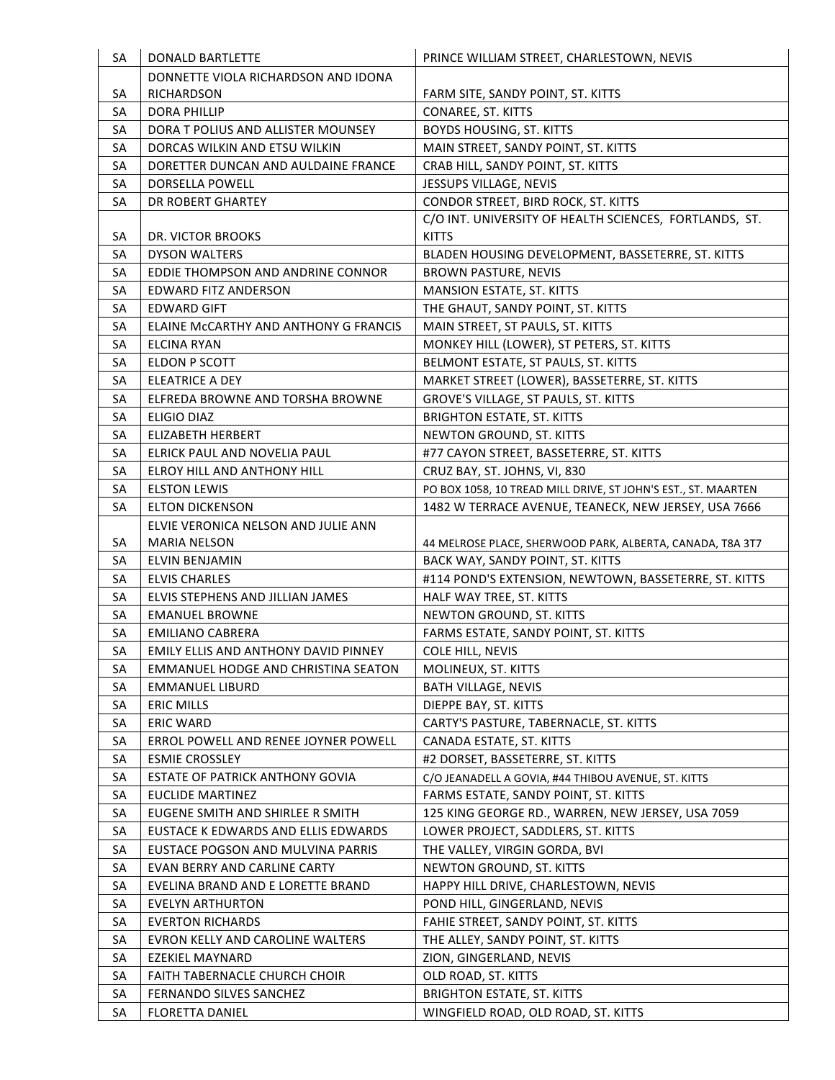| SA | <b>DONALD BARTLETTE</b>                | PRINCE WILLIAM STREET, CHARLESTOWN, NEVIS                     |
|----|----------------------------------------|---------------------------------------------------------------|
|    | DONNETTE VIOLA RICHARDSON AND IDONA    |                                                               |
| SA | RICHARDSON                             | FARM SITE, SANDY POINT, ST. KITTS                             |
| SA | <b>DORA PHILLIP</b>                    | CONAREE, ST. KITTS                                            |
| SA | DORA T POLIUS AND ALLISTER MOUNSEY     | <b>BOYDS HOUSING, ST. KITTS</b>                               |
| SA | DORCAS WILKIN AND ETSU WILKIN          | MAIN STREET, SANDY POINT, ST. KITTS                           |
| SA | DORETTER DUNCAN AND AULDAINE FRANCE    | CRAB HILL, SANDY POINT, ST. KITTS                             |
| SA | DORSELLA POWELL                        | JESSUPS VILLAGE, NEVIS                                        |
| SA | DR ROBERT GHARTEY                      | CONDOR STREET, BIRD ROCK, ST. KITTS                           |
|    |                                        | C/O INT. UNIVERSITY OF HEALTH SCIENCES, FORTLANDS, ST.        |
| SA | DR. VICTOR BROOKS                      | <b>KITTS</b>                                                  |
| SA | <b>DYSON WALTERS</b>                   | BLADEN HOUSING DEVELOPMENT, BASSETERRE, ST. KITTS             |
| SA | EDDIE THOMPSON AND ANDRINE CONNOR      | BROWN PASTURE, NEVIS                                          |
| SA | <b>EDWARD FITZ ANDERSON</b>            | <b>MANSION ESTATE, ST. KITTS</b>                              |
| SA | <b>EDWARD GIFT</b>                     | THE GHAUT, SANDY POINT, ST. KITTS                             |
| SA | ELAINE MCCARTHY AND ANTHONY G FRANCIS  | MAIN STREET, ST PAULS, ST. KITTS                              |
| SA | <b>ELCINA RYAN</b>                     | MONKEY HILL (LOWER), ST PETERS, ST. KITTS                     |
| SA | <b>ELDON P SCOTT</b>                   | BELMONT ESTATE, ST PAULS, ST. KITTS                           |
| SA | <b>ELEATRICE A DEY</b>                 | MARKET STREET (LOWER), BASSETERRE, ST. KITTS                  |
| SA | ELFREDA BROWNE AND TORSHA BROWNE       | GROVE'S VILLAGE, ST PAULS, ST. KITTS                          |
| SA | <b>ELIGIO DIAZ</b>                     | <b>BRIGHTON ESTATE, ST. KITTS</b>                             |
| SA | <b>ELIZABETH HERBERT</b>               | NEWTON GROUND, ST. KITTS                                      |
| SA | ELRICK PAUL AND NOVELIA PAUL           | #77 CAYON STREET, BASSETERRE, ST. KITTS                       |
| SA | ELROY HILL AND ANTHONY HILL            | CRUZ BAY, ST. JOHNS, VI, 830                                  |
| SA | <b>ELSTON LEWIS</b>                    | PO BOX 1058, 10 TREAD MILL DRIVE, ST JOHN'S EST., ST. MAARTEN |
| SA | <b>ELTON DICKENSON</b>                 | 1482 W TERRACE AVENUE, TEANECK, NEW JERSEY, USA 7666          |
|    | ELVIE VERONICA NELSON AND JULIE ANN    |                                                               |
| SA | <b>MARIA NELSON</b>                    | 44 MELROSE PLACE, SHERWOOD PARK, ALBERTA, CANADA, T8A 3T7     |
| SA | ELVIN BENJAMIN                         | BACK WAY, SANDY POINT, ST. KITTS                              |
| SA | <b>ELVIS CHARLES</b>                   | #114 POND'S EXTENSION, NEWTOWN, BASSETERRE, ST. KITTS         |
| SA | ELVIS STEPHENS AND JILLIAN JAMES       | HALF WAY TREE, ST. KITTS                                      |
| SA | <b>EMANUEL BROWNE</b>                  | NEWTON GROUND, ST. KITTS                                      |
| SA | <b>EMILIANO CABRERA</b>                | FARMS ESTATE, SANDY POINT, ST. KITTS                          |
| SA | EMILY ELLIS AND ANTHONY DAVID PINNEY   | <b>COLE HILL, NEVIS</b>                                       |
| SA | EMMANUEL HODGE AND CHRISTINA SEATON    | MOLINEUX, ST. KITTS                                           |
| SA | <b>EMMANUEL LIBURD</b>                 | <b>BATH VILLAGE, NEVIS</b>                                    |
| SA | <b>ERIC MILLS</b>                      | DIEPPE BAY, ST. KITTS                                         |
| SA | <b>ERIC WARD</b>                       | CARTY'S PASTURE, TABERNACLE, ST. KITTS                        |
| SA | ERROL POWELL AND RENEE JOYNER POWELL   | CANADA ESTATE, ST. KITTS                                      |
| SA | <b>ESMIE CROSSLEY</b>                  | #2 DORSET, BASSETERRE, ST. KITTS                              |
| SA | <b>ESTATE OF PATRICK ANTHONY GOVIA</b> | C/O JEANADELL A GOVIA, #44 THIBOU AVENUE, ST. KITTS           |
| SA | <b>EUCLIDE MARTINEZ</b>                | FARMS ESTATE, SANDY POINT, ST. KITTS                          |
| SA | EUGENE SMITH AND SHIRLEE R SMITH       | 125 KING GEORGE RD., WARREN, NEW JERSEY, USA 7059             |
| SA | EUSTACE K EDWARDS AND ELLIS EDWARDS    | LOWER PROJECT, SADDLERS, ST. KITTS                            |
| SA | EUSTACE POGSON AND MULVINA PARRIS      | THE VALLEY, VIRGIN GORDA, BVI                                 |
| SA | EVAN BERRY AND CARLINE CARTY           | NEWTON GROUND, ST. KITTS                                      |
| SA | EVELINA BRAND AND E LORETTE BRAND      | HAPPY HILL DRIVE, CHARLESTOWN, NEVIS                          |
| SA | EVELYN ARTHURTON                       | POND HILL, GINGERLAND, NEVIS                                  |
| SA | <b>EVERTON RICHARDS</b>                | FAHIE STREET, SANDY POINT, ST. KITTS                          |
| SA | EVRON KELLY AND CAROLINE WALTERS       | THE ALLEY, SANDY POINT, ST. KITTS                             |
| SA | EZEKIEL MAYNARD                        | ZION, GINGERLAND, NEVIS                                       |
| SA | FAITH TABERNACLE CHURCH CHOIR          | OLD ROAD, ST. KITTS                                           |
| SA | FERNANDO SILVES SANCHEZ                | <b>BRIGHTON ESTATE, ST. KITTS</b>                             |
| SA | <b>FLORETTA DANIEL</b>                 | WINGFIELD ROAD, OLD ROAD, ST. KITTS                           |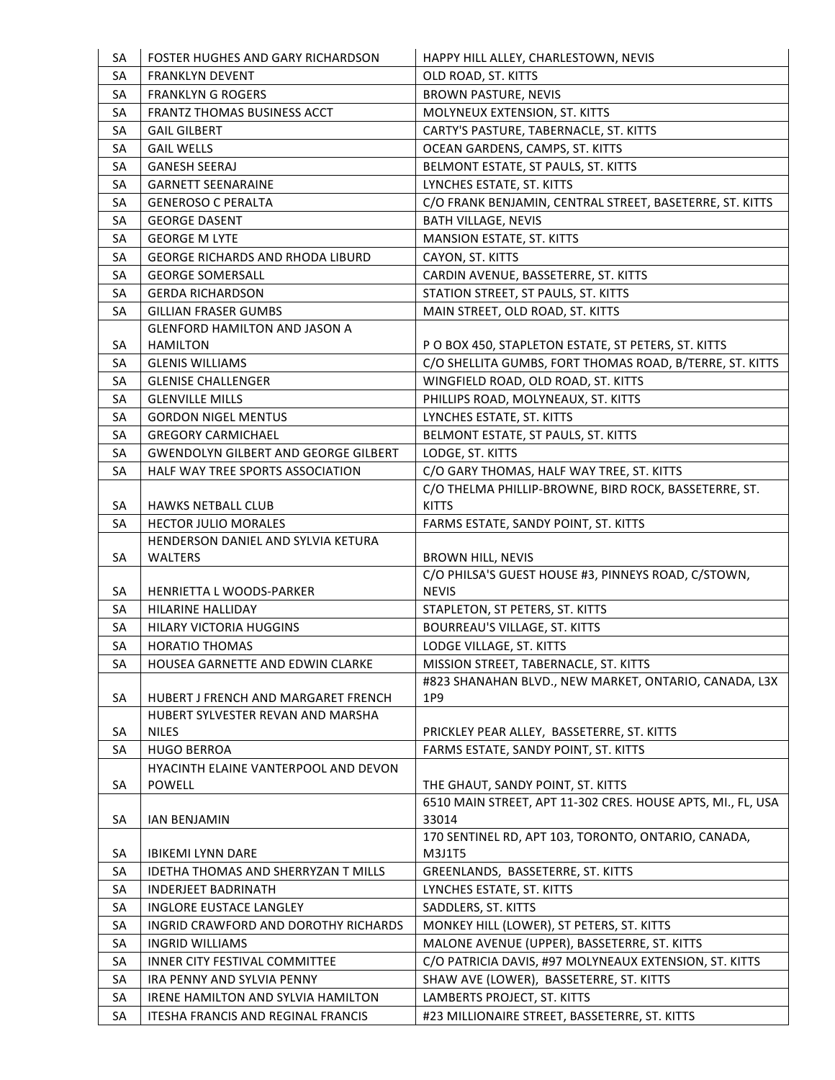| SA       | FOSTER HUGHES AND GARY RICHARDSON                           | HAPPY HILL ALLEY, CHARLESTOWN, NEVIS                                                                   |
|----------|-------------------------------------------------------------|--------------------------------------------------------------------------------------------------------|
| SA       | <b>FRANKLYN DEVENT</b>                                      | OLD ROAD, ST. KITTS                                                                                    |
| SA       | <b>FRANKLYN G ROGERS</b>                                    | <b>BROWN PASTURE, NEVIS</b>                                                                            |
| SA       | FRANTZ THOMAS BUSINESS ACCT                                 | MOLYNEUX EXTENSION, ST. KITTS                                                                          |
| SA       | <b>GAIL GILBERT</b>                                         | CARTY'S PASTURE, TABERNACLE, ST. KITTS                                                                 |
| SA       | <b>GAIL WELLS</b>                                           | OCEAN GARDENS, CAMPS, ST. KITTS                                                                        |
| SA       | <b>GANESH SEERAJ</b>                                        | BELMONT ESTATE, ST PAULS, ST. KITTS                                                                    |
| SA       | <b>GARNETT SEENARAINE</b>                                   | LYNCHES ESTATE, ST. KITTS                                                                              |
| SA       | <b>GENEROSO C PERALTA</b>                                   | C/O FRANK BENJAMIN, CENTRAL STREET, BASETERRE, ST. KITTS                                               |
| SA       | <b>GEORGE DASENT</b>                                        | <b>BATH VILLAGE, NEVIS</b>                                                                             |
| SA       | <b>GEORGE M LYTE</b>                                        | MANSION ESTATE, ST. KITTS                                                                              |
| SA       | <b>GEORGE RICHARDS AND RHODA LIBURD</b>                     | CAYON, ST. KITTS                                                                                       |
| SA       | <b>GEORGE SOMERSALL</b>                                     | CARDIN AVENUE, BASSETERRE, ST. KITTS                                                                   |
| SA       | <b>GERDA RICHARDSON</b>                                     | STATION STREET, ST PAULS, ST. KITTS                                                                    |
| SA       | <b>GILLIAN FRASER GUMBS</b>                                 | MAIN STREET, OLD ROAD, ST. KITTS                                                                       |
|          | <b>GLENFORD HAMILTON AND JASON A</b>                        |                                                                                                        |
| SA       | <b>HAMILTON</b>                                             | P O BOX 450, STAPLETON ESTATE, ST PETERS, ST. KITTS                                                    |
| SA       | <b>GLENIS WILLIAMS</b>                                      | C/O SHELLITA GUMBS, FORT THOMAS ROAD, B/TERRE, ST. KITTS                                               |
| SA       | <b>GLENISE CHALLENGER</b>                                   | WINGFIELD ROAD, OLD ROAD, ST. KITTS                                                                    |
| SA       | <b>GLENVILLE MILLS</b>                                      | PHILLIPS ROAD, MOLYNEAUX, ST. KITTS                                                                    |
| SA       | <b>GORDON NIGEL MENTUS</b>                                  | LYNCHES ESTATE, ST. KITTS                                                                              |
| SA       | <b>GREGORY CARMICHAEL</b>                                   | BELMONT ESTATE, ST PAULS, ST. KITTS                                                                    |
| SA       | <b>GWENDOLYN GILBERT AND GEORGE GILBERT</b>                 | LODGE, ST. KITTS                                                                                       |
| SA       | HALF WAY TREE SPORTS ASSOCIATION                            | C/O GARY THOMAS, HALF WAY TREE, ST. KITTS                                                              |
|          |                                                             | C/O THELMA PHILLIP-BROWNE, BIRD ROCK, BASSETERRE, ST.                                                  |
| SA       | <b>HAWKS NETBALL CLUB</b>                                   | <b>KITTS</b>                                                                                           |
| SA       | <b>HECTOR JULIO MORALES</b>                                 | FARMS ESTATE, SANDY POINT, ST. KITTS                                                                   |
|          | HENDERSON DANIEL AND SYLVIA KETURA                          |                                                                                                        |
| SA       | WALTERS                                                     | <b>BROWN HILL, NEVIS</b><br>C/O PHILSA'S GUEST HOUSE #3, PINNEYS ROAD, C/STOWN,                        |
| SA       | HENRIETTA L WOODS-PARKER                                    | <b>NEVIS</b>                                                                                           |
| SA       | HILARINE HALLIDAY                                           | STAPLETON, ST PETERS, ST. KITTS                                                                        |
| SA       | HILARY VICTORIA HUGGINS                                     | <b>BOURREAU'S VILLAGE, ST. KITTS</b>                                                                   |
| SA       | <b>HORATIO THOMAS</b>                                       | LODGE VILLAGE, ST. KITTS                                                                               |
| SA       | HOUSEA GARNETTE AND EDWIN CLARKE                            | MISSION STREET, TABERNACLE, ST. KITTS                                                                  |
|          |                                                             | #823 SHANAHAN BLVD., NEW MARKET, ONTARIO, CANADA, L3X                                                  |
| SA       | HUBERT J FRENCH AND MARGARET FRENCH                         | 1P9                                                                                                    |
|          | HUBERT SYLVESTER REVAN AND MARSHA                           |                                                                                                        |
| SA       | <b>NILES</b>                                                | PRICKLEY PEAR ALLEY, BASSETERRE, ST. KITTS                                                             |
| SA       | <b>HUGO BERROA</b>                                          | FARMS ESTATE, SANDY POINT, ST. KITTS                                                                   |
|          | HYACINTH ELAINE VANTERPOOL AND DEVON                        |                                                                                                        |
| SA       | <b>POWELL</b>                                               | THE GHAUT, SANDY POINT, ST. KITTS                                                                      |
|          |                                                             | 6510 MAIN STREET, APT 11-302 CRES. HOUSE APTS, MI., FL, USA                                            |
| SA       | <b>IAN BENJAMIN</b>                                         | 33014                                                                                                  |
|          |                                                             | 170 SENTINEL RD, APT 103, TORONTO, ONTARIO, CANADA,                                                    |
| SA       | <b>IBIKEMI LYNN DARE</b>                                    | M3J1T5                                                                                                 |
| SA       | <b>IDETHA THOMAS AND SHERRYZAN T MILLS</b>                  | GREENLANDS, BASSETERRE, ST. KITTS                                                                      |
| SA       | <b>INDERJEET BADRINATH</b>                                  | LYNCHES ESTATE, ST. KITTS                                                                              |
| SA       | <b>INGLORE EUSTACE LANGLEY</b>                              | SADDLERS, ST. KITTS                                                                                    |
| SA       | INGRID CRAWFORD AND DOROTHY RICHARDS                        | MONKEY HILL (LOWER), ST PETERS, ST. KITTS                                                              |
| SA<br>SA | <b>INGRID WILLIAMS</b>                                      | MALONE AVENUE (UPPER), BASSETERRE, ST. KITTS<br>C/O PATRICIA DAVIS, #97 MOLYNEAUX EXTENSION, ST. KITTS |
| SA       | INNER CITY FESTIVAL COMMITTEE<br>IRA PENNY AND SYLVIA PENNY | SHAW AVE (LOWER), BASSETERRE, ST. KITTS                                                                |
|          | IRENE HAMILTON AND SYLVIA HAMILTON                          | LAMBERTS PROJECT, ST. KITTS                                                                            |
| SA       |                                                             |                                                                                                        |
| SA       | ITESHA FRANCIS AND REGINAL FRANCIS                          | #23 MILLIONAIRE STREET, BASSETERRE, ST. KITTS                                                          |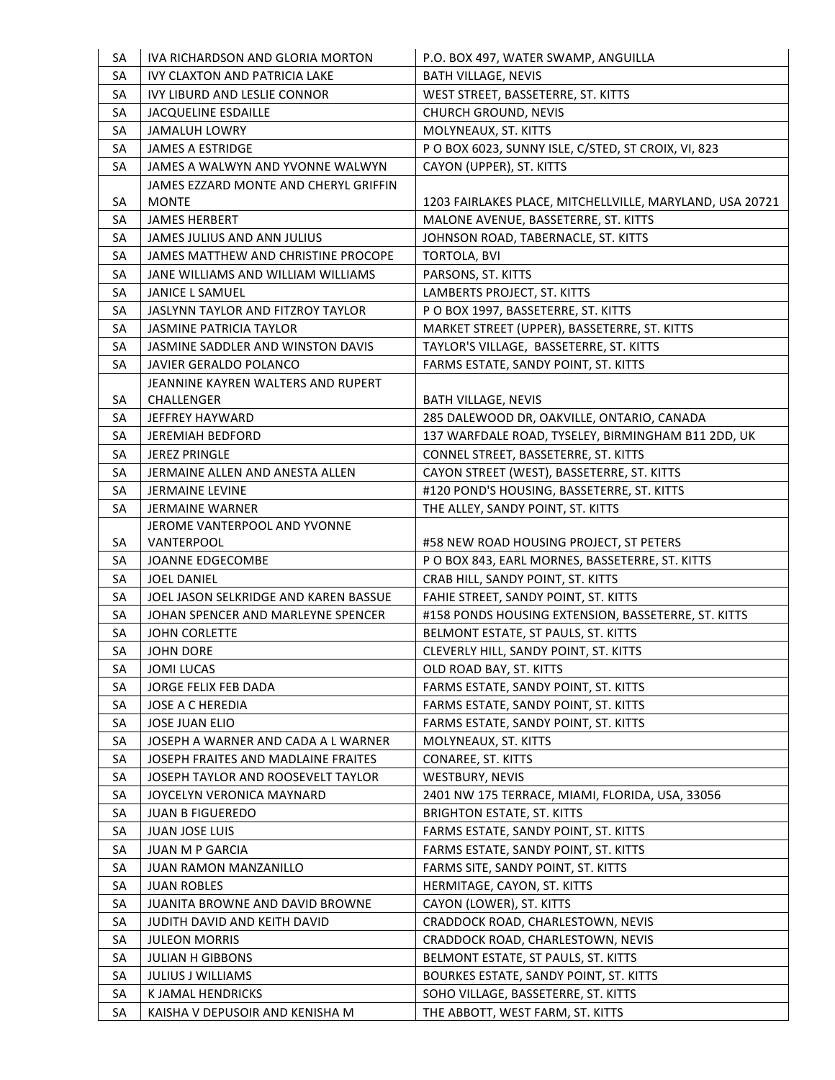| SA | IVA RICHARDSON AND GLORIA MORTON      | P.O. BOX 497, WATER SWAMP, ANGUILLA                      |
|----|---------------------------------------|----------------------------------------------------------|
| SA | IVY CLAXTON AND PATRICIA LAKE         | <b>BATH VILLAGE, NEVIS</b>                               |
| SA | IVY LIBURD AND LESLIE CONNOR          | WEST STREET, BASSETERRE, ST. KITTS                       |
| SA | <b>JACQUELINE ESDAILLE</b>            | <b>CHURCH GROUND, NEVIS</b>                              |
| SA | <b>JAMALUH LOWRY</b>                  | MOLYNEAUX, ST. KITTS                                     |
| SA | <b>JAMES A ESTRIDGE</b>               | PO BOX 6023, SUNNY ISLE, C/STED, ST CROIX, VI, 823       |
| SA | JAMES A WALWYN AND YVONNE WALWYN      | CAYON (UPPER), ST. KITTS                                 |
|    | JAMES EZZARD MONTE AND CHERYL GRIFFIN |                                                          |
| SA | <b>MONTE</b>                          | 1203 FAIRLAKES PLACE, MITCHELLVILLE, MARYLAND, USA 20721 |
| SA | <b>JAMES HERBERT</b>                  | MALONE AVENUE, BASSETERRE, ST. KITTS                     |
| SA | JAMES JULIUS AND ANN JULIUS           | JOHNSON ROAD, TABERNACLE, ST. KITTS                      |
| SA | JAMES MATTHEW AND CHRISTINE PROCOPE   | <b>TORTOLA, BVI</b>                                      |
| SA | JANE WILLIAMS AND WILLIAM WILLIAMS    | PARSONS, ST. KITTS                                       |
| SA | <b>JANICE L SAMUEL</b>                | LAMBERTS PROJECT, ST. KITTS                              |
| SA | JASLYNN TAYLOR AND FITZROY TAYLOR     | P O BOX 1997, BASSETERRE, ST. KITTS                      |
| SA | JASMINE PATRICIA TAYLOR               | MARKET STREET (UPPER), BASSETERRE, ST. KITTS             |
| SA | JASMINE SADDLER AND WINSTON DAVIS     | TAYLOR'S VILLAGE, BASSETERRE, ST. KITTS                  |
| SA | JAVIER GERALDO POLANCO                | FARMS ESTATE, SANDY POINT, ST. KITTS                     |
|    | JEANNINE KAYREN WALTERS AND RUPERT    |                                                          |
| SA | CHALLENGER                            | <b>BATH VILLAGE, NEVIS</b>                               |
| SA | <b>JEFFREY HAYWARD</b>                | 285 DALEWOOD DR, OAKVILLE, ONTARIO, CANADA               |
| SA | <b>JEREMIAH BEDFORD</b>               | 137 WARFDALE ROAD, TYSELEY, BIRMINGHAM B11 2DD, UK       |
| SA | <b>JEREZ PRINGLE</b>                  | CONNEL STREET, BASSETERRE, ST. KITTS                     |
| SA | JERMAINE ALLEN AND ANESTA ALLEN       | CAYON STREET (WEST), BASSETERRE, ST. KITTS               |
| SA | <b>JERMAINE LEVINE</b>                | #120 POND'S HOUSING, BASSETERRE, ST. KITTS               |
| SA | <b>JERMAINE WARNER</b>                | THE ALLEY, SANDY POINT, ST. KITTS                        |
|    | JEROME VANTERPOOL AND YVONNE          |                                                          |
| SA | VANTERPOOL                            | #58 NEW ROAD HOUSING PROJECT, ST PETERS                  |
| SA | <b>JOANNE EDGECOMBE</b>               | P O BOX 843, EARL MORNES, BASSETERRE, ST. KITTS          |
| SA | <b>JOEL DANIEL</b>                    | CRAB HILL, SANDY POINT, ST. KITTS                        |
| SA | JOEL JASON SELKRIDGE AND KAREN BASSUE | FAHIE STREET, SANDY POINT, ST. KITTS                     |
| SA | JOHAN SPENCER AND MARLEYNE SPENCER    | #158 PONDS HOUSING EXTENSION, BASSETERRE, ST. KITTS      |
| SA | <b>JOHN CORLETTE</b>                  | BELMONT ESTATE, ST PAULS, ST. KITTS                      |
| SA | <b>JOHN DORE</b>                      | CLEVERLY HILL, SANDY POINT, ST. KITTS                    |
| SA | <b>JOMI LUCAS</b>                     | OLD ROAD BAY, ST. KITTS                                  |
| SA | JORGE FELIX FEB DADA                  | FARMS ESTATE, SANDY POINT, ST. KITTS                     |
| SA | <b>JOSE A C HEREDIA</b>               | FARMS ESTATE, SANDY POINT, ST. KITTS                     |
| SA | <b>JOSE JUAN ELIO</b>                 | FARMS ESTATE, SANDY POINT, ST. KITTS                     |
| SA | JOSEPH A WARNER AND CADA A L WARNER   | MOLYNEAUX, ST. KITTS                                     |
| SA | JOSEPH FRAITES AND MADLAINE FRAITES   | CONAREE, ST. KITTS                                       |
| SA | JOSEPH TAYLOR AND ROOSEVELT TAYLOR    | WESTBURY, NEVIS                                          |
| SA | JOYCELYN VERONICA MAYNARD             | 2401 NW 175 TERRACE, MIAMI, FLORIDA, USA, 33056          |
| SA | <b>JUAN B FIGUEREDO</b>               | <b>BRIGHTON ESTATE, ST. KITTS</b>                        |
| SA | <b>JUAN JOSE LUIS</b>                 | FARMS ESTATE, SANDY POINT, ST. KITTS                     |
| SA | <b>JUAN M P GARCIA</b>                | FARMS ESTATE, SANDY POINT, ST. KITTS                     |
| SA | JUAN RAMON MANZANILLO                 | FARMS SITE, SANDY POINT, ST. KITTS                       |
| SA | <b>JUAN ROBLES</b>                    | HERMITAGE, CAYON, ST. KITTS                              |
| SA | JUANITA BROWNE AND DAVID BROWNE       | CAYON (LOWER), ST. KITTS                                 |
| SA | JUDITH DAVID AND KEITH DAVID          | CRADDOCK ROAD, CHARLESTOWN, NEVIS                        |
| SA | <b>JULEON MORRIS</b>                  | CRADDOCK ROAD, CHARLESTOWN, NEVIS                        |
| SA | <b>JULIAN H GIBBONS</b>               | BELMONT ESTATE, ST PAULS, ST. KITTS                      |
| SA | <b>JULIUS J WILLIAMS</b>              | BOURKES ESTATE, SANDY POINT, ST. KITTS                   |
| SA | K JAMAL HENDRICKS                     | SOHO VILLAGE, BASSETERRE, ST. KITTS                      |
| SA | KAISHA V DEPUSOIR AND KENISHA M       | THE ABBOTT, WEST FARM, ST. KITTS                         |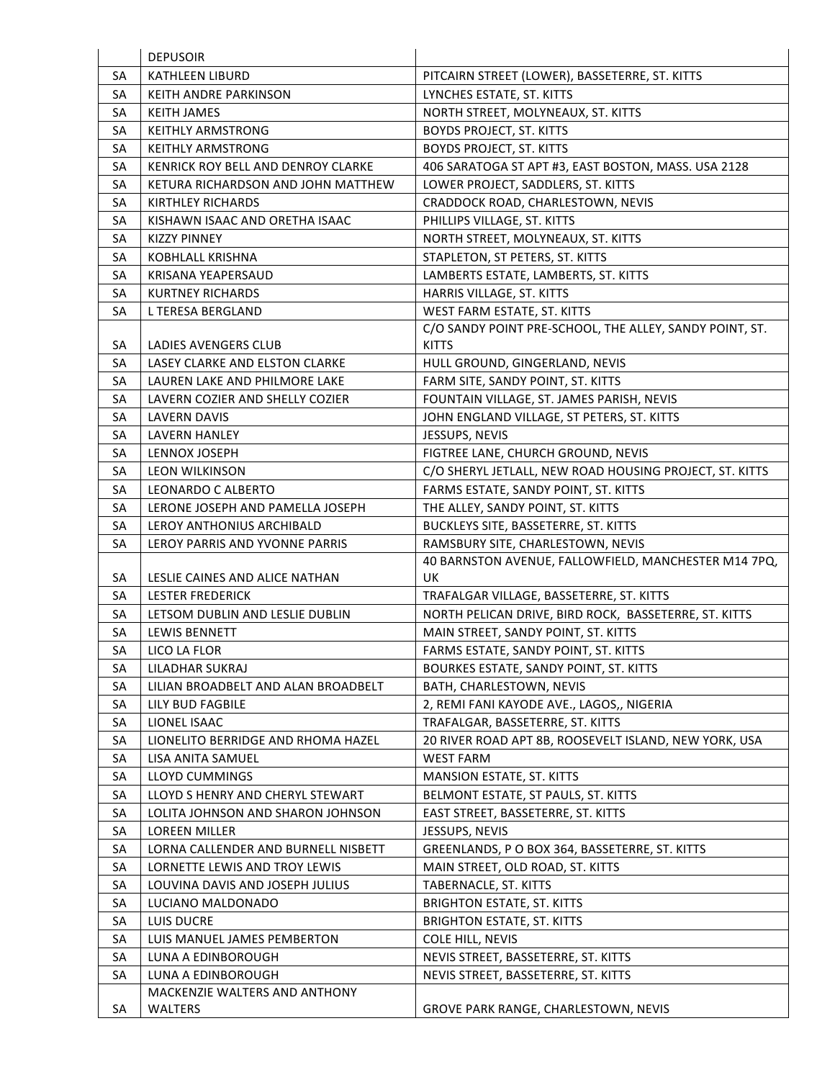|    | <b>DEPUSOIR</b>                                 |                                                         |
|----|-------------------------------------------------|---------------------------------------------------------|
| SА | <b>KATHLEEN LIBURD</b>                          | PITCAIRN STREET (LOWER), BASSETERRE, ST. KITTS          |
| SA | <b>KEITH ANDRE PARKINSON</b>                    | LYNCHES ESTATE, ST. KITTS                               |
| SA | <b>KEITH JAMES</b>                              | NORTH STREET, MOLYNEAUX, ST. KITTS                      |
| SA | <b>KEITHLY ARMSTRONG</b>                        | <b>BOYDS PROJECT, ST. KITTS</b>                         |
| SA | <b>KEITHLY ARMSTRONG</b>                        | <b>BOYDS PROJECT, ST. KITTS</b>                         |
| SA | KENRICK ROY BELL AND DENROY CLARKE              | 406 SARATOGA ST APT #3, EAST BOSTON, MASS. USA 2128     |
| SA | KETURA RICHARDSON AND JOHN MATTHEW              | LOWER PROJECT, SADDLERS, ST. KITTS                      |
| SA | <b>KIRTHLEY RICHARDS</b>                        | CRADDOCK ROAD, CHARLESTOWN, NEVIS                       |
| SA | KISHAWN ISAAC AND ORETHA ISAAC                  | PHILLIPS VILLAGE, ST. KITTS                             |
| SA | <b>KIZZY PINNEY</b>                             | NORTH STREET, MOLYNEAUX, ST. KITTS                      |
| SA | <b>KOBHLALL KRISHNA</b>                         | STAPLETON, ST PETERS, ST. KITTS                         |
| SA | KRISANA YEAPERSAUD                              | LAMBERTS ESTATE, LAMBERTS, ST. KITTS                    |
| SA | <b>KURTNEY RICHARDS</b>                         | HARRIS VILLAGE, ST. KITTS                               |
| SA | L TERESA BERGLAND                               | WEST FARM ESTATE, ST. KITTS                             |
|    |                                                 | C/O SANDY POINT PRE-SCHOOL, THE ALLEY, SANDY POINT, ST. |
| SA | <b>LADIES AVENGERS CLUB</b>                     | <b>KITTS</b>                                            |
| SA | <b>LASEY CLARKE AND ELSTON CLARKE</b>           | HULL GROUND, GINGERLAND, NEVIS                          |
| SA | LAUREN LAKE AND PHILMORE LAKE                   | FARM SITE, SANDY POINT, ST. KITTS                       |
| SA | LAVERN COZIER AND SHELLY COZIER                 | FOUNTAIN VILLAGE, ST. JAMES PARISH, NEVIS               |
| SA | <b>LAVERN DAVIS</b>                             | JOHN ENGLAND VILLAGE, ST PETERS, ST. KITTS              |
| SA | <b>LAVERN HANLEY</b>                            | JESSUPS, NEVIS                                          |
| SA | LENNOX JOSEPH                                   | FIGTREE LANE, CHURCH GROUND, NEVIS                      |
| SA | <b>LEON WILKINSON</b>                           | C/O SHERYL JETLALL, NEW ROAD HOUSING PROJECT, ST. KITTS |
| SA | LEONARDO C ALBERTO                              | FARMS ESTATE, SANDY POINT, ST. KITTS                    |
| SA | LERONE JOSEPH AND PAMELLA JOSEPH                | THE ALLEY, SANDY POINT, ST. KITTS                       |
| SA | LEROY ANTHONIUS ARCHIBALD                       | BUCKLEYS SITE, BASSETERRE, ST. KITTS                    |
|    |                                                 |                                                         |
| SA | LEROY PARRIS AND YVONNE PARRIS                  | RAMSBURY SITE, CHARLESTOWN, NEVIS                       |
|    |                                                 | 40 BARNSTON AVENUE, FALLOWFIELD, MANCHESTER M14 7PQ,    |
| SA | LESLIE CAINES AND ALICE NATHAN                  | UK                                                      |
| SA | <b>LESTER FREDERICK</b>                         | TRAFALGAR VILLAGE, BASSETERRE, ST. KITTS                |
| SA | LETSOM DUBLIN AND LESLIE DUBLIN                 | NORTH PELICAN DRIVE, BIRD ROCK, BASSETERRE, ST. KITTS   |
| SA | <b>LEWIS BENNETT</b>                            | MAIN STREET, SANDY POINT, ST. KITTS                     |
| SA | LICO LA FLOR                                    | FARMS ESTATE, SANDY POINT, ST. KITTS                    |
| SA | LILADHAR SUKRAJ                                 | BOURKES ESTATE, SANDY POINT, ST. KITTS                  |
| SA | LILIAN BROADBELT AND ALAN BROADBELT             | BATH, CHARLESTOWN, NEVIS                                |
| SA | LILY BUD FAGBILE                                | 2, REMI FANI KAYODE AVE., LAGOS,, NIGERIA               |
| SA | LIONEL ISAAC                                    | TRAFALGAR, BASSETERRE, ST. KITTS                        |
| SA | LIONELITO BERRIDGE AND RHOMA HAZEL              | 20 RIVER ROAD APT 8B, ROOSEVELT ISLAND, NEW YORK, USA   |
| SA | LISA ANITA SAMUEL                               | <b>WEST FARM</b>                                        |
| SA | LLOYD CUMMINGS                                  | MANSION ESTATE, ST. KITTS                               |
| SA | LLOYD S HENRY AND CHERYL STEWART                | BELMONT ESTATE, ST PAULS, ST. KITTS                     |
| SA | LOLITA JOHNSON AND SHARON JOHNSON               | EAST STREET, BASSETERRE, ST. KITTS                      |
| SA | LOREEN MILLER                                   | JESSUPS, NEVIS                                          |
| SA | LORNA CALLENDER AND BURNELL NISBETT             | GREENLANDS, P O BOX 364, BASSETERRE, ST. KITTS          |
| SA | LORNETTE LEWIS AND TROY LEWIS                   | MAIN STREET, OLD ROAD, ST. KITTS                        |
| SA | LOUVINA DAVIS AND JOSEPH JULIUS                 | TABERNACLE, ST. KITTS                                   |
| SA | LUCIANO MALDONADO                               | <b>BRIGHTON ESTATE, ST. KITTS</b>                       |
| SA | LUIS DUCRE                                      | <b>BRIGHTON ESTATE, ST. KITTS</b>                       |
| SA | LUIS MANUEL JAMES PEMBERTON                     | <b>COLE HILL, NEVIS</b>                                 |
| SA | LUNA A EDINBOROUGH                              | NEVIS STREET, BASSETERRE, ST. KITTS                     |
| SA | LUNA A EDINBOROUGH                              | NEVIS STREET, BASSETERRE, ST. KITTS                     |
| SA | MACKENZIE WALTERS AND ANTHONY<br><b>WALTERS</b> | <b>GROVE PARK RANGE, CHARLESTOWN, NEVIS</b>             |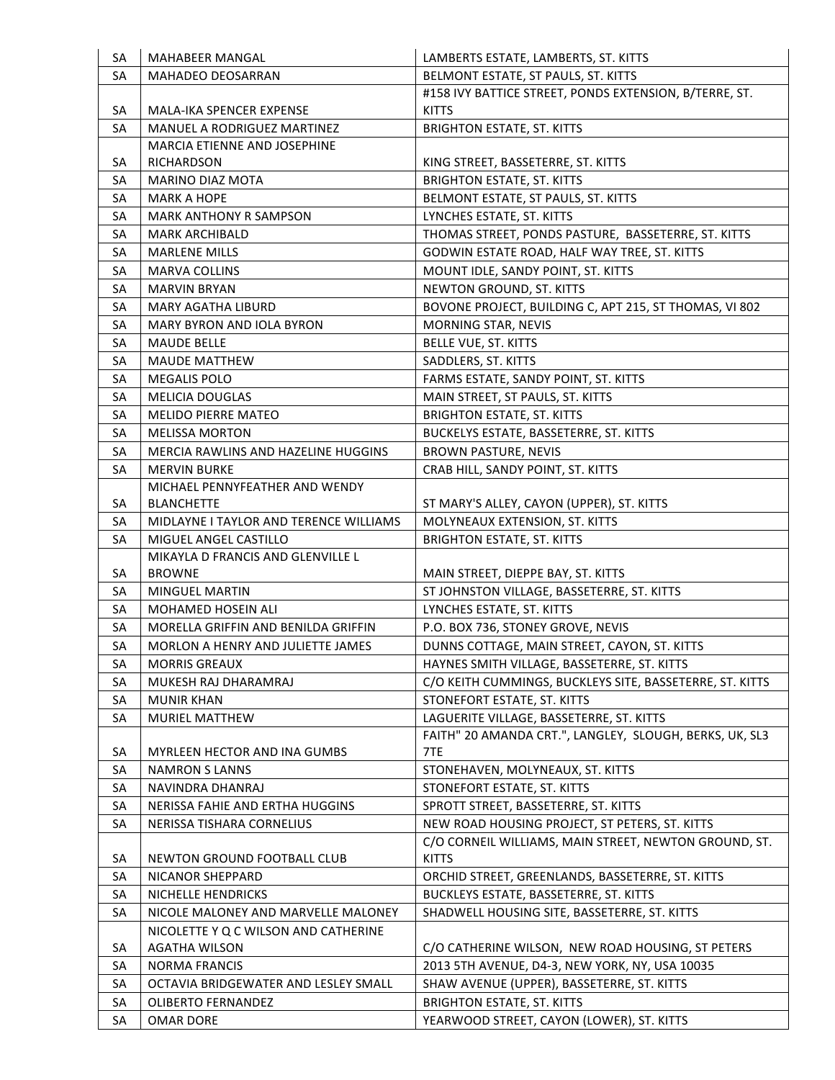| SA | <b>MAHABEER MANGAL</b>                   | LAMBERTS ESTATE, LAMBERTS, ST. KITTS                     |
|----|------------------------------------------|----------------------------------------------------------|
| SA | <b>MAHADEO DEOSARRAN</b>                 | BELMONT ESTATE, ST PAULS, ST. KITTS                      |
|    |                                          | #158 IVY BATTICE STREET, PONDS EXTENSION, B/TERRE, ST.   |
| SA | MALA-IKA SPENCER EXPENSE                 | <b>KITTS</b>                                             |
| SA | MANUEL A RODRIGUEZ MARTINEZ              | <b>BRIGHTON ESTATE, ST. KITTS</b>                        |
|    | MARCIA ETIENNE AND JOSEPHINE             |                                                          |
| SA | RICHARDSON                               | KING STREET, BASSETERRE, ST. KITTS                       |
| SA | <b>MARINO DIAZ MOTA</b>                  | <b>BRIGHTON ESTATE, ST. KITTS</b>                        |
| SA | <b>MARK A HOPE</b>                       | BELMONT ESTATE, ST PAULS, ST. KITTS                      |
| SA | <b>MARK ANTHONY R SAMPSON</b>            | LYNCHES ESTATE, ST. KITTS                                |
| SA | <b>MARK ARCHIBALD</b>                    | THOMAS STREET, PONDS PASTURE, BASSETERRE, ST. KITTS      |
| SA | <b>MARLENE MILLS</b>                     | GODWIN ESTATE ROAD, HALF WAY TREE, ST. KITTS             |
| SA | <b>MARVA COLLINS</b>                     | MOUNT IDLE, SANDY POINT, ST. KITTS                       |
| SA | <b>MARVIN BRYAN</b>                      | NEWTON GROUND, ST. KITTS                                 |
| SA | <b>MARY AGATHA LIBURD</b>                | BOVONE PROJECT, BUILDING C, APT 215, ST THOMAS, VI 802   |
| SA | <b>MARY BYRON AND IOLA BYRON</b>         | MORNING STAR, NEVIS                                      |
| SA | <b>MAUDE BELLE</b>                       | BELLE VUE, ST. KITTS                                     |
| SA | <b>MAUDE MATTHEW</b>                     | SADDLERS, ST. KITTS                                      |
| SA | <b>MEGALIS POLO</b>                      | FARMS ESTATE, SANDY POINT, ST. KITTS                     |
| SA | <b>MELICIA DOUGLAS</b>                   | MAIN STREET, ST PAULS, ST. KITTS                         |
| SA | <b>MELIDO PIERRE MATEO</b>               | <b>BRIGHTON ESTATE, ST. KITTS</b>                        |
| SA | <b>MELISSA MORTON</b>                    | BUCKELYS ESTATE, BASSETERRE, ST. KITTS                   |
| SA | MERCIA RAWLINS AND HAZELINE HUGGINS      | <b>BROWN PASTURE, NEVIS</b>                              |
| SA | <b>MERVIN BURKE</b>                      | CRAB HILL, SANDY POINT, ST. KITTS                        |
|    | MICHAEL PENNYFEATHER AND WENDY           |                                                          |
| SA | <b>BLANCHETTE</b>                        | ST MARY'S ALLEY, CAYON (UPPER), ST. KITTS                |
| SA | MIDLAYNE I TAYLOR AND TERENCE WILLIAMS   | MOLYNEAUX EXTENSION, ST. KITTS                           |
| SA | MIGUEL ANGEL CASTILLO                    | <b>BRIGHTON ESTATE, ST. KITTS</b>                        |
|    | MIKAYLA D FRANCIS AND GLENVILLE L        |                                                          |
| SA | <b>BROWNE</b>                            | MAIN STREET, DIEPPE BAY, ST. KITTS                       |
| SA | <b>MINGUEL MARTIN</b>                    | ST JOHNSTON VILLAGE, BASSETERRE, ST. KITTS               |
| SA | <b>MOHAMED HOSEIN ALI</b>                | LYNCHES ESTATE, ST. KITTS                                |
| SA | MORELLA GRIFFIN AND BENILDA GRIFFIN      | P.O. BOX 736, STONEY GROVE, NEVIS                        |
| SA | <b>MORLON A HENRY AND JULIETTE JAMES</b> | DUNNS COTTAGE, MAIN STREET, CAYON, ST. KITTS             |
| SA | <b>MORRIS GREAUX</b>                     | HAYNES SMITH VILLAGE, BASSETERRE, ST. KITTS              |
| SA | MUKESH RAJ DHARAMRAJ                     | C/O KEITH CUMMINGS, BUCKLEYS SITE, BASSETERRE, ST. KITTS |
| SA | <b>MUNIR KHAN</b>                        | STONEFORT ESTATE, ST. KITTS                              |
| SA | MURIEL MATTHEW                           | LAGUERITE VILLAGE, BASSETERRE, ST. KITTS                 |
|    |                                          | FAITH" 20 AMANDA CRT.", LANGLEY, SLOUGH, BERKS, UK, SL3  |
| SA | MYRLEEN HECTOR AND INA GUMBS             | 7TE                                                      |
| SA | <b>NAMRON S LANNS</b>                    | STONEHAVEN, MOLYNEAUX, ST. KITTS                         |
| SA | NAVINDRA DHANRAJ                         | STONEFORT ESTATE, ST. KITTS                              |
| SA | NERISSA FAHIE AND ERTHA HUGGINS          | SPROTT STREET, BASSETERRE, ST. KITTS                     |
| SA | NERISSA TISHARA CORNELIUS                | NEW ROAD HOUSING PROJECT, ST PETERS, ST. KITTS           |
|    |                                          | C/O CORNEIL WILLIAMS, MAIN STREET, NEWTON GROUND, ST.    |
| SA | NEWTON GROUND FOOTBALL CLUB              | <b>KITTS</b>                                             |
| SA | NICANOR SHEPPARD                         | ORCHID STREET, GREENLANDS, BASSETERRE, ST. KITTS         |
| SA | NICHELLE HENDRICKS                       | BUCKLEYS ESTATE, BASSETERRE, ST. KITTS                   |
| SA | NICOLE MALONEY AND MARVELLE MALONEY      | SHADWELL HOUSING SITE, BASSETERRE, ST. KITTS             |
|    | NICOLETTE Y Q C WILSON AND CATHERINE     |                                                          |
| SA | <b>AGATHA WILSON</b>                     | C/O CATHERINE WILSON, NEW ROAD HOUSING, ST PETERS        |
| SA | <b>NORMA FRANCIS</b>                     | 2013 5TH AVENUE, D4-3, NEW YORK, NY, USA 10035           |
| SA | OCTAVIA BRIDGEWATER AND LESLEY SMALL     | SHAW AVENUE (UPPER), BASSETERRE, ST. KITTS               |
| SA | <b>OLIBERTO FERNANDEZ</b>                | <b>BRIGHTON ESTATE, ST. KITTS</b>                        |
| SA | <b>OMAR DORE</b>                         | YEARWOOD STREET, CAYON (LOWER), ST. KITTS                |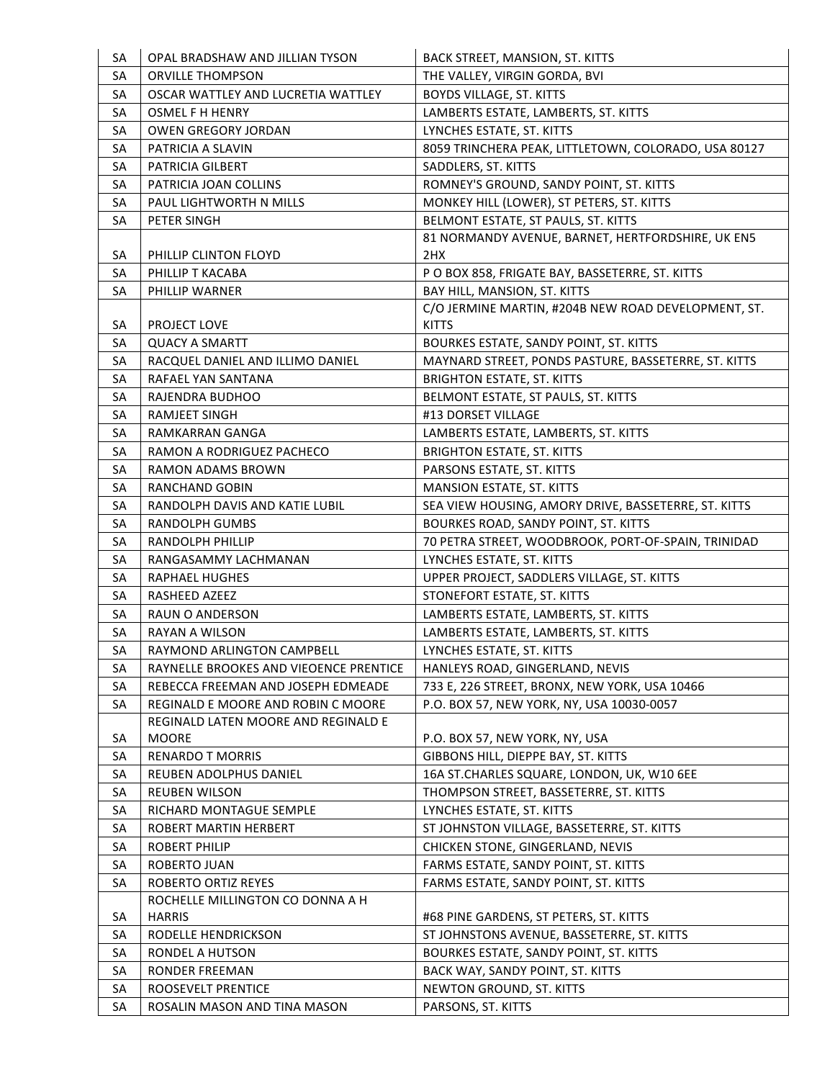| SA | OPAL BRADSHAW AND JILLIAN TYSON           | BACK STREET, MANSION, ST. KITTS                      |
|----|-------------------------------------------|------------------------------------------------------|
| SA | ORVILLE THOMPSON                          | THE VALLEY, VIRGIN GORDA, BVI                        |
| SA | OSCAR WATTLEY AND LUCRETIA WATTLEY        | <b>BOYDS VILLAGE, ST. KITTS</b>                      |
| SA | <b>OSMEL F H HENRY</b>                    | LAMBERTS ESTATE, LAMBERTS, ST. KITTS                 |
| SA | <b>OWEN GREGORY JORDAN</b>                | LYNCHES ESTATE, ST. KITTS                            |
| SA | PATRICIA A SLAVIN                         | 8059 TRINCHERA PEAK, LITTLETOWN, COLORADO, USA 80127 |
| SA | PATRICIA GILBERT                          | SADDLERS, ST. KITTS                                  |
| SA | PATRICIA JOAN COLLINS                     | ROMNEY'S GROUND, SANDY POINT, ST. KITTS              |
| SA | PAUL LIGHTWORTH N MILLS                   | MONKEY HILL (LOWER), ST PETERS, ST. KITTS            |
| SA | PETER SINGH                               | BELMONT ESTATE, ST PAULS, ST. KITTS                  |
|    |                                           | 81 NORMANDY AVENUE, BARNET, HERTFORDSHIRE, UK EN5    |
| SA | PHILLIP CLINTON FLOYD                     | 2HX                                                  |
| SA | PHILLIP T KACABA                          | P O BOX 858, FRIGATE BAY, BASSETERRE, ST. KITTS      |
| SA | PHILLIP WARNER                            | BAY HILL, MANSION, ST. KITTS                         |
|    |                                           | C/O JERMINE MARTIN, #204B NEW ROAD DEVELOPMENT, ST.  |
| SA | PROJECT LOVE                              | <b>KITTS</b>                                         |
| SA | <b>QUACY A SMARTT</b>                     | BOURKES ESTATE, SANDY POINT, ST. KITTS               |
| SA | RACQUEL DANIEL AND ILLIMO DANIEL          | MAYNARD STREET, PONDS PASTURE, BASSETERRE, ST. KITTS |
| SA | RAFAEL YAN SANTANA                        | <b>BRIGHTON ESTATE, ST. KITTS</b>                    |
| SA | RAJENDRA BUDHOO                           | BELMONT ESTATE, ST PAULS, ST. KITTS                  |
| SA | <b>RAMJEET SINGH</b>                      | #13 DORSET VILLAGE                                   |
| SA | RAMKARRAN GANGA                           | LAMBERTS ESTATE, LAMBERTS, ST. KITTS                 |
| SA | RAMON A RODRIGUEZ PACHECO                 | <b>BRIGHTON ESTATE, ST. KITTS</b>                    |
| SA | <b>RAMON ADAMS BROWN</b>                  | PARSONS ESTATE, ST. KITTS                            |
| SA | <b>RANCHAND GOBIN</b>                     | MANSION ESTATE, ST. KITTS                            |
| SA | RANDOLPH DAVIS AND KATIE LUBIL            | SEA VIEW HOUSING, AMORY DRIVE, BASSETERRE, ST. KITTS |
| SA | RANDOLPH GUMBS                            | BOURKES ROAD, SANDY POINT, ST. KITTS                 |
| SA | RANDOLPH PHILLIP                          | 70 PETRA STREET, WOODBROOK, PORT-OF-SPAIN, TRINIDAD  |
| SA | RANGASAMMY LACHMANAN                      | LYNCHES ESTATE, ST. KITTS                            |
| SA | RAPHAEL HUGHES                            | UPPER PROJECT, SADDLERS VILLAGE, ST. KITTS           |
| SA | RASHEED AZEEZ                             | STONEFORT ESTATE, ST. KITTS                          |
| SA | RAUN O ANDERSON                           | LAMBERTS ESTATE, LAMBERTS, ST. KITTS                 |
| SA | RAYAN A WILSON                            | LAMBERTS ESTATE, LAMBERTS, ST. KITTS                 |
| SA | RAYMOND ARLINGTON CAMPBELL                | LYNCHES ESTATE, ST. KITTS                            |
| SA | RAYNELLE BROOKES AND VIEOENCE PRENTICE    | HANLEYS ROAD, GINGERLAND, NEVIS                      |
| SA | REBECCA FREEMAN AND JOSEPH EDMEADE        | 733 E, 226 STREET, BRONX, NEW YORK, USA 10466        |
| SA | <b>REGINALD E MOORE AND ROBIN C MOORE</b> | P.O. BOX 57, NEW YORK, NY, USA 10030-0057            |
|    | REGINALD LATEN MOORE AND REGINALD E       |                                                      |
| SA | <b>MOORE</b>                              | P.O. BOX 57, NEW YORK, NY, USA                       |
| SA | <b>RENARDO T MORRIS</b>                   | GIBBONS HILL, DIEPPE BAY, ST. KITTS                  |
| SA | REUBEN ADOLPHUS DANIEL                    | 16A ST.CHARLES SQUARE, LONDON, UK, W10 6EE           |
| SA | <b>REUBEN WILSON</b>                      | THOMPSON STREET, BASSETERRE, ST. KITTS               |
| SA | RICHARD MONTAGUE SEMPLE                   | LYNCHES ESTATE, ST. KITTS                            |
| SA | ROBERT MARTIN HERBERT                     | ST JOHNSTON VILLAGE, BASSETERRE, ST. KITTS           |
| SA | ROBERT PHILIP                             | CHICKEN STONE, GINGERLAND, NEVIS                     |
| SA | ROBERTO JUAN                              | FARMS ESTATE, SANDY POINT, ST. KITTS                 |
| SA | ROBERTO ORTIZ REYES                       | FARMS ESTATE, SANDY POINT, ST. KITTS                 |
|    | ROCHELLE MILLINGTON CO DONNA A H          |                                                      |
| SA | <b>HARRIS</b>                             | #68 PINE GARDENS, ST PETERS, ST. KITTS               |
| SA | RODELLE HENDRICKSON                       | ST JOHNSTONS AVENUE, BASSETERRE, ST. KITTS           |
| SA | RONDEL A HUTSON                           | BOURKES ESTATE, SANDY POINT, ST. KITTS               |
| SA | RONDER FREEMAN                            | BACK WAY, SANDY POINT, ST. KITTS                     |
| SA | ROOSEVELT PRENTICE                        | NEWTON GROUND, ST. KITTS                             |
| SA | ROSALIN MASON AND TINA MASON              | PARSONS, ST. KITTS                                   |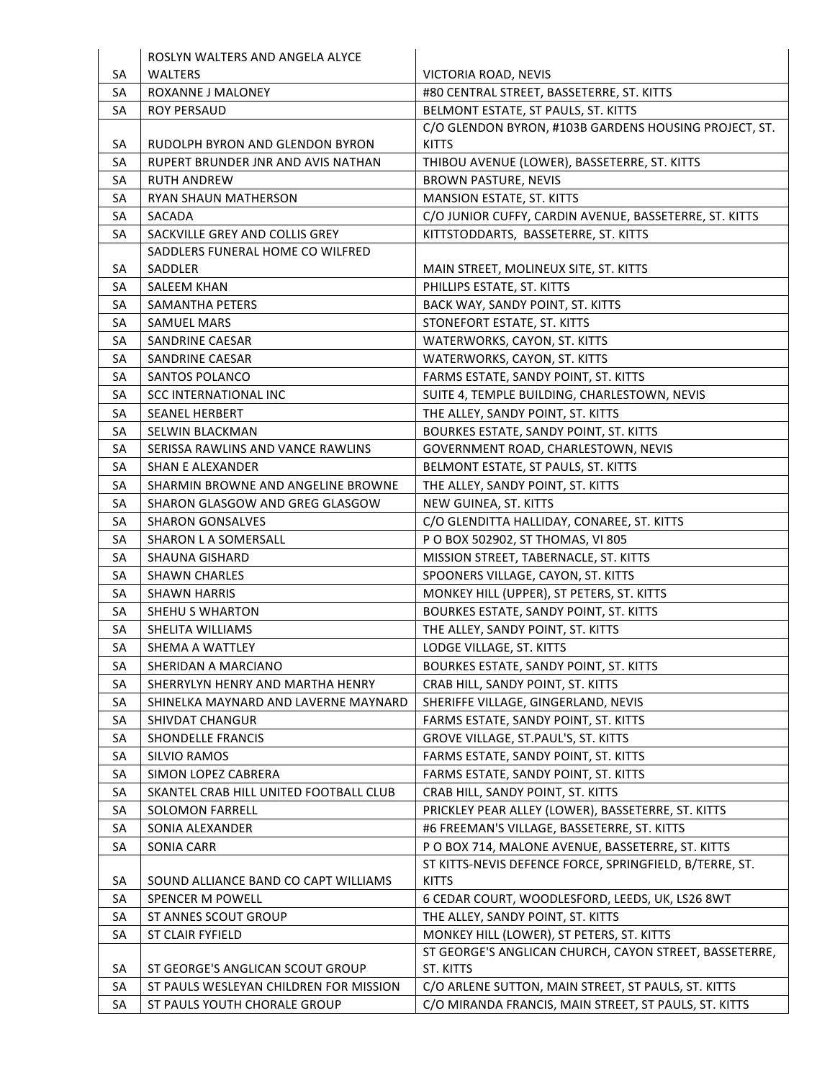|          | ROSLYN WALTERS AND ANGELA ALYCE        |                                                                                                     |
|----------|----------------------------------------|-----------------------------------------------------------------------------------------------------|
| SA       | <b>WALTERS</b>                         | VICTORIA ROAD, NEVIS                                                                                |
| SA       | ROXANNE J MALONEY                      | #80 CENTRAL STREET, BASSETERRE, ST. KITTS                                                           |
| SA       | <b>ROY PERSAUD</b>                     | BELMONT ESTATE, ST PAULS, ST. KITTS                                                                 |
|          |                                        | C/O GLENDON BYRON, #103B GARDENS HOUSING PROJECT, ST.                                               |
| SA       | RUDOLPH BYRON AND GLENDON BYRON        | <b>KITTS</b>                                                                                        |
| SA       | RUPERT BRUNDER JNR AND AVIS NATHAN     | THIBOU AVENUE (LOWER), BASSETERRE, ST. KITTS                                                        |
| SA       | <b>RUTH ANDREW</b>                     | <b>BROWN PASTURE, NEVIS</b>                                                                         |
| SA       | <b>RYAN SHAUN MATHERSON</b>            | MANSION ESTATE, ST. KITTS                                                                           |
| SA       | SACADA                                 | C/O JUNIOR CUFFY, CARDIN AVENUE, BASSETERRE, ST. KITTS                                              |
| SA       | SACKVILLE GREY AND COLLIS GREY         | KITTSTODDARTS, BASSETERRE, ST. KITTS                                                                |
|          | SADDLERS FUNERAL HOME CO WILFRED       |                                                                                                     |
| SA       | SADDLER                                | MAIN STREET, MOLINEUX SITE, ST. KITTS                                                               |
| SA       | SALEEM KHAN                            | PHILLIPS ESTATE, ST. KITTS                                                                          |
| SA       | SAMANTHA PETERS                        | BACK WAY, SANDY POINT, ST. KITTS                                                                    |
| SA       | <b>SAMUEL MARS</b>                     | STONEFORT ESTATE, ST. KITTS                                                                         |
| SA       | SANDRINE CAESAR                        | WATERWORKS, CAYON, ST. KITTS                                                                        |
| SA       | <b>SANDRINE CAESAR</b>                 | WATERWORKS, CAYON, ST. KITTS                                                                        |
| SA       | SANTOS POLANCO                         | FARMS ESTATE, SANDY POINT, ST. KITTS                                                                |
| SA       | <b>SCC INTERNATIONAL INC</b>           | SUITE 4, TEMPLE BUILDING, CHARLESTOWN, NEVIS                                                        |
| SA       | SEANEL HERBERT                         | THE ALLEY, SANDY POINT, ST. KITTS                                                                   |
| SA       | SELWIN BLACKMAN                        | BOURKES ESTATE, SANDY POINT, ST. KITTS                                                              |
| SA       | SERISSA RAWLINS AND VANCE RAWLINS      | GOVERNMENT ROAD, CHARLESTOWN, NEVIS                                                                 |
| SA       | <b>SHAN E ALEXANDER</b>                | BELMONT ESTATE, ST PAULS, ST. KITTS                                                                 |
| SA       | SHARMIN BROWNE AND ANGELINE BROWNE     | THE ALLEY, SANDY POINT, ST. KITTS                                                                   |
| SA       | SHARON GLASGOW AND GREG GLASGOW        | NEW GUINEA, ST. KITTS                                                                               |
| SA       | <b>SHARON GONSALVES</b>                | C/O GLENDITTA HALLIDAY, CONAREE, ST. KITTS                                                          |
| SA       | SHARON L A SOMERSALL                   | P O BOX 502902, ST THOMAS, VI 805                                                                   |
| SA       | <b>SHAUNA GISHARD</b>                  | MISSION STREET, TABERNACLE, ST. KITTS                                                               |
| SA       | <b>SHAWN CHARLES</b>                   | SPOONERS VILLAGE, CAYON, ST. KITTS                                                                  |
| SA       | <b>SHAWN HARRIS</b>                    | MONKEY HILL (UPPER), ST PETERS, ST. KITTS                                                           |
| SA       | SHEHU S WHARTON                        | BOURKES ESTATE, SANDY POINT, ST. KITTS                                                              |
| SA       | SHELITA WILLIAMS                       | THE ALLEY, SANDY POINT, ST. KITTS                                                                   |
| SA       | SHEMA A WATTLEY                        | LODGE VILLAGE, ST. KITTS                                                                            |
| SA       | SHERIDAN A MARCIANO                    | BOURKES ESTATE, SANDY POINT, ST. KITTS                                                              |
| SA       | SHERRYLYN HENRY AND MARTHA HENRY       | CRAB HILL, SANDY POINT, ST. KITTS                                                                   |
| SA       | SHINELKA MAYNARD AND LAVERNE MAYNARD   | SHERIFFE VILLAGE, GINGERLAND, NEVIS                                                                 |
| SA       | SHIVDAT CHANGUR                        | FARMS ESTATE, SANDY POINT, ST. KITTS                                                                |
| SA       | <b>SHONDELLE FRANCIS</b>               | GROVE VILLAGE, ST. PAUL'S, ST. KITTS                                                                |
| SA       | <b>SILVIO RAMOS</b>                    | FARMS ESTATE, SANDY POINT, ST. KITTS                                                                |
| SA       | SIMON LOPEZ CABRERA                    | FARMS ESTATE, SANDY POINT, ST. KITTS                                                                |
| SA       | SKANTEL CRAB HILL UNITED FOOTBALL CLUB | CRAB HILL, SANDY POINT, ST. KITTS                                                                   |
| SA       | <b>SOLOMON FARRELL</b>                 | PRICKLEY PEAR ALLEY (LOWER), BASSETERRE, ST. KITTS                                                  |
| SA       | SONIA ALEXANDER                        | #6 FREEMAN'S VILLAGE, BASSETERRE, ST. KITTS                                                         |
| SA       | SONIA CARR                             | P O BOX 714, MALONE AVENUE, BASSETERRE, ST. KITTS                                                   |
|          |                                        | ST KITTS-NEVIS DEFENCE FORCE, SPRINGFIELD, B/TERRE, ST.                                             |
| SA<br>SA | SOUND ALLIANCE BAND CO CAPT WILLIAMS   | <b>KITTS</b>                                                                                        |
|          | SPENCER M POWELL                       | 6 CEDAR COURT, WOODLESFORD, LEEDS, UK, LS26 8WT                                                     |
| SA       | ST ANNES SCOUT GROUP                   | THE ALLEY, SANDY POINT, ST. KITTS                                                                   |
| SA       | ST CLAIR FYFIELD                       | MONKEY HILL (LOWER), ST PETERS, ST. KITTS<br>ST GEORGE'S ANGLICAN CHURCH, CAYON STREET, BASSETERRE, |
| SA       | ST GEORGE'S ANGLICAN SCOUT GROUP       | ST. KITTS                                                                                           |
| SA       | ST PAULS WESLEYAN CHILDREN FOR MISSION | C/O ARLENE SUTTON, MAIN STREET, ST PAULS, ST. KITTS                                                 |
| SA       | ST PAULS YOUTH CHORALE GROUP           | C/O MIRANDA FRANCIS, MAIN STREET, ST PAULS, ST. KITTS                                               |
|          |                                        |                                                                                                     |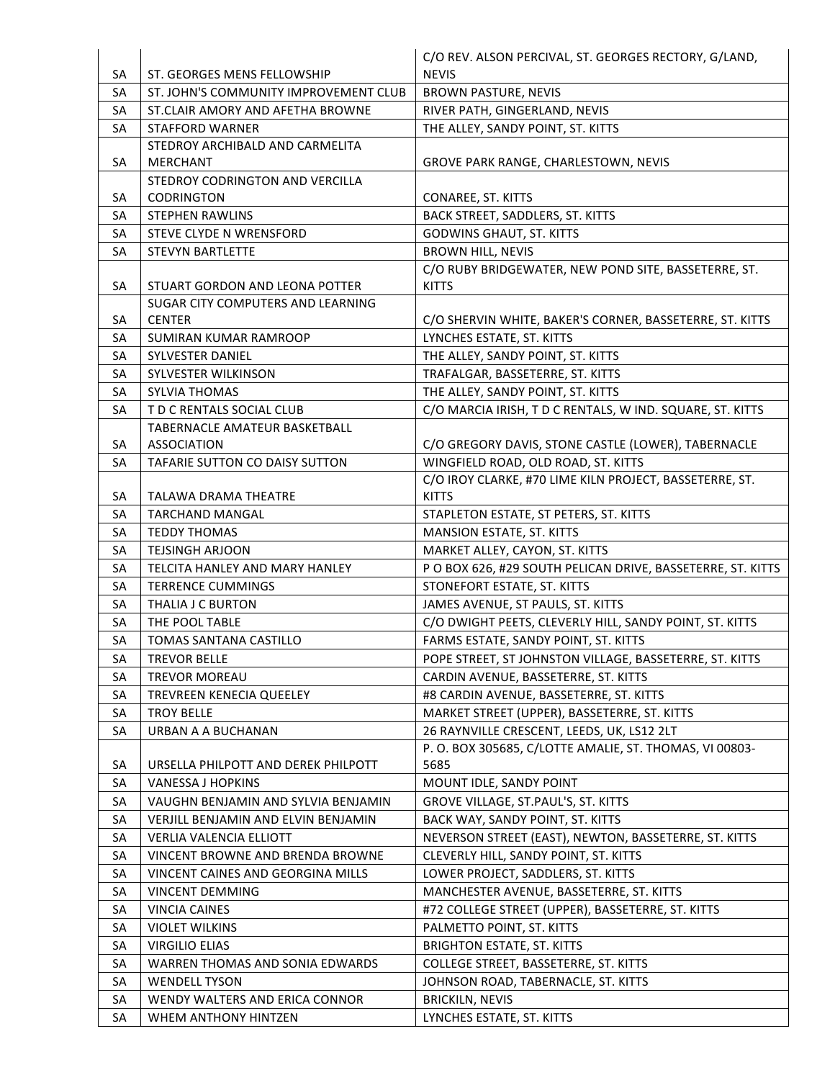|          |                                                        | C/O REV. ALSON PERCIVAL, ST. GEORGES RECTORY, G/LAND,                                          |
|----------|--------------------------------------------------------|------------------------------------------------------------------------------------------------|
| SA       | ST. GEORGES MENS FELLOWSHIP                            | <b>NEVIS</b>                                                                                   |
| SA       | ST. JOHN'S COMMUNITY IMPROVEMENT CLUB                  | <b>BROWN PASTURE, NEVIS</b>                                                                    |
| SA       | ST.CLAIR AMORY AND AFETHA BROWNE                       | RIVER PATH, GINGERLAND, NEVIS                                                                  |
| SA       | <b>STAFFORD WARNER</b>                                 | THE ALLEY, SANDY POINT, ST. KITTS                                                              |
|          | STEDROY ARCHIBALD AND CARMELITA                        |                                                                                                |
| SA       | <b>MERCHANT</b>                                        | GROVE PARK RANGE, CHARLESTOWN, NEVIS                                                           |
|          | STEDROY CODRINGTON AND VERCILLA                        |                                                                                                |
| SA       | <b>CODRINGTON</b>                                      | CONAREE, ST. KITTS                                                                             |
| SA       | <b>STEPHEN RAWLINS</b>                                 | BACK STREET, SADDLERS, ST. KITTS                                                               |
| SA       | STEVE CLYDE N WRENSFORD                                | <b>GODWINS GHAUT, ST. KITTS</b>                                                                |
| SA       | <b>STEVYN BARTLETTE</b>                                | <b>BROWN HILL, NEVIS</b>                                                                       |
|          |                                                        | C/O RUBY BRIDGEWATER, NEW POND SITE, BASSETERRE, ST.                                           |
| SA       | STUART GORDON AND LEONA POTTER                         | <b>KITTS</b>                                                                                   |
|          | SUGAR CITY COMPUTERS AND LEARNING                      |                                                                                                |
| SA       | <b>CENTER</b>                                          | C/O SHERVIN WHITE, BAKER'S CORNER, BASSETERRE, ST. KITTS                                       |
| SA       | <b>SUMIRAN KUMAR RAMROOP</b>                           | LYNCHES ESTATE, ST. KITTS                                                                      |
| SA       | <b>SYLVESTER DANIEL</b>                                | THE ALLEY, SANDY POINT, ST. KITTS                                                              |
| SA       | SYLVESTER WILKINSON<br><b>SYLVIA THOMAS</b>            | TRAFALGAR, BASSETERRE, ST. KITTS                                                               |
| SA<br>SA | T D C RENTALS SOCIAL CLUB                              | THE ALLEY, SANDY POINT, ST. KITTS<br>C/O MARCIA IRISH, T D C RENTALS, W IND. SQUARE, ST. KITTS |
|          | <b>TABERNACLE AMATEUR BASKETBALL</b>                   |                                                                                                |
| SA       | <b>ASSOCIATION</b>                                     | C/O GREGORY DAVIS, STONE CASTLE (LOWER), TABERNACLE                                            |
| SA       | TAFARIE SUTTON CO DAISY SUTTON                         | WINGFIELD ROAD, OLD ROAD, ST. KITTS                                                            |
|          |                                                        | C/O IROY CLARKE, #70 LIME KILN PROJECT, BASSETERRE, ST.                                        |
| SA       | <b>TALAWA DRAMA THEATRE</b>                            | <b>KITTS</b>                                                                                   |
| SA       | <b>TARCHAND MANGAL</b>                                 | STAPLETON ESTATE, ST PETERS, ST. KITTS                                                         |
| SA       | <b>TEDDY THOMAS</b>                                    | MANSION ESTATE, ST. KITTS                                                                      |
|          |                                                        |                                                                                                |
| SA       | <b>TEJSINGH ARJOON</b>                                 | MARKET ALLEY, CAYON, ST. KITTS                                                                 |
| SA       | TELCITA HANLEY AND MARY HANLEY                         | P O BOX 626, #29 SOUTH PELICAN DRIVE, BASSETERRE, ST. KITTS                                    |
| SA       | <b>TERRENCE CUMMINGS</b>                               | STONEFORT ESTATE, ST. KITTS                                                                    |
| SA       | THALIA J C BURTON                                      | JAMES AVENUE, ST PAULS, ST. KITTS                                                              |
| SA       | THE POOL TABLE                                         | C/O DWIGHT PEETS, CLEVERLY HILL, SANDY POINT, ST. KITTS                                        |
| SA       | <b>TOMAS SANTANA CASTILLO</b>                          | FARMS ESTATE, SANDY POINT, ST. KITTS                                                           |
| SA       | TREVOR BELLE                                           | POPE STREET, ST JOHNSTON VILLAGE, BASSETERRE, ST. KITTS                                        |
| SA       | <b>TREVOR MOREAU</b>                                   | CARDIN AVENUE, BASSETERRE, ST. KITTS                                                           |
| SA       | <b>TREVREEN KENECIA QUEELEY</b>                        | #8 CARDIN AVENUE, BASSETERRE, ST. KITTS                                                        |
| SA       | <b>TROY BELLE</b>                                      | MARKET STREET (UPPER), BASSETERRE, ST. KITTS                                                   |
| SA       | URBAN A A BUCHANAN                                     | 26 RAYNVILLE CRESCENT, LEEDS, UK, LS12 2LT                                                     |
|          |                                                        | P. O. BOX 305685, C/LOTTE AMALIE, ST. THOMAS, VI 00803-                                        |
| SA       | URSELLA PHILPOTT AND DEREK PHILPOTT                    | 5685                                                                                           |
| SA       | VANESSA J HOPKINS                                      | MOUNT IDLE, SANDY POINT                                                                        |
| SA       | VAUGHN BENJAMIN AND SYLVIA BENJAMIN                    | GROVE VILLAGE, ST.PAUL'S, ST. KITTS                                                            |
| SA       | VERJILL BENJAMIN AND ELVIN BENJAMIN                    | BACK WAY, SANDY POINT, ST. KITTS                                                               |
| SA       | <b>VERLIA VALENCIA ELLIOTT</b>                         | NEVERSON STREET (EAST), NEWTON, BASSETERRE, ST. KITTS                                          |
| SA       | VINCENT BROWNE AND BRENDA BROWNE                       | CLEVERLY HILL, SANDY POINT, ST. KITTS                                                          |
| SA       | VINCENT CAINES AND GEORGINA MILLS                      | LOWER PROJECT, SADDLERS, ST. KITTS                                                             |
| SA       | <b>VINCENT DEMMING</b>                                 | MANCHESTER AVENUE, BASSETERRE, ST. KITTS                                                       |
| SA       | <b>VINCIA CAINES</b>                                   | #72 COLLEGE STREET (UPPER), BASSETERRE, ST. KITTS                                              |
| SA       | <b>VIOLET WILKINS</b>                                  | PALMETTO POINT, ST. KITTS                                                                      |
| SA       | <b>VIRGILIO ELIAS</b>                                  | <b>BRIGHTON ESTATE, ST. KITTS</b>                                                              |
| SA       | WARREN THOMAS AND SONIA EDWARDS                        | COLLEGE STREET, BASSETERRE, ST. KITTS                                                          |
| SA       | <b>WENDELL TYSON</b>                                   | JOHNSON ROAD, TABERNACLE, ST. KITTS                                                            |
| SA<br>SA | WENDY WALTERS AND ERICA CONNOR<br>WHEM ANTHONY HINTZEN | <b>BRICKILN, NEVIS</b><br>LYNCHES ESTATE, ST. KITTS                                            |